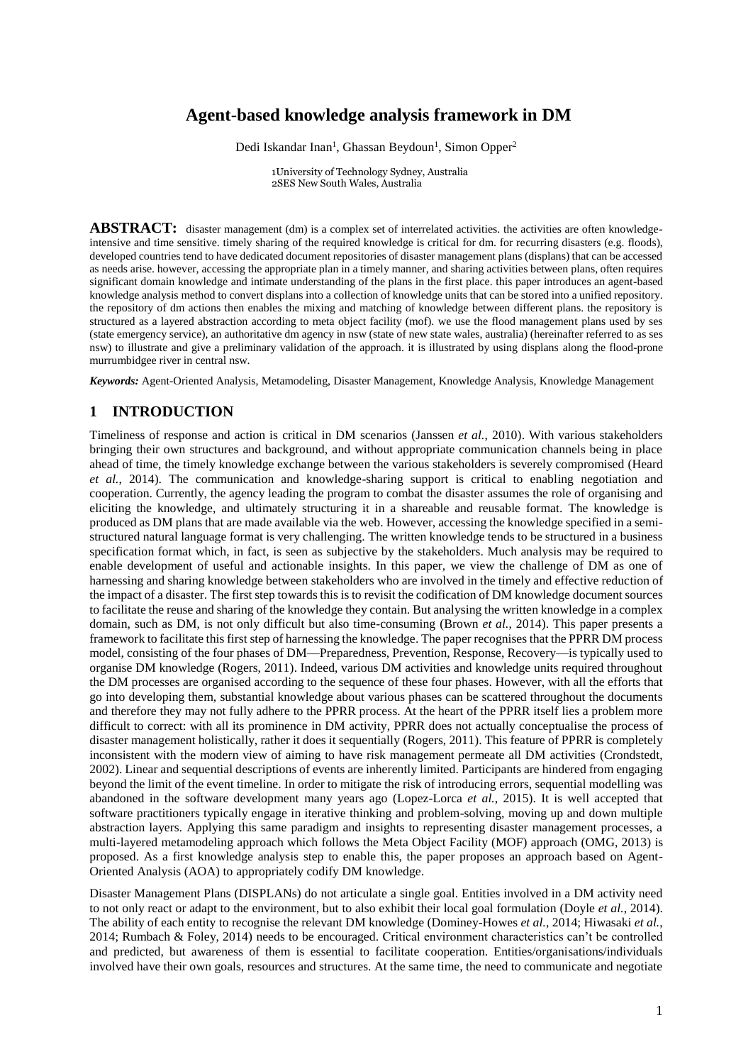# **Agent-based knowledge analysis framework in DM**

Dedi Iskandar Inan<sup>1</sup>, Ghassan Beydoun<sup>1</sup>, Simon Opper<sup>2</sup>

1University of Technology Sydney, Australia 2SES New South Wales, Australia

**ABSTRACT:** disaster management (dm) is a complex set of interrelated activities. the activities are often knowledgeintensive and time sensitive. timely sharing of the required knowledge is critical for dm. for recurring disasters (e.g. floods), developed countries tend to have dedicated document repositories of disaster management plans (displans) that can be accessed as needs arise. however, accessing the appropriate plan in a timely manner, and sharing activities between plans, often requires significant domain knowledge and intimate understanding of the plans in the first place. this paper introduces an agent-based knowledge analysis method to convert displans into a collection of knowledge units that can be stored into a unified repository. the repository of dm actions then enables the mixing and matching of knowledge between different plans. the repository is structured as a layered abstraction according to meta object facility (mof). we use the flood management plans used by ses (state emergency service), an authoritative dm agency in nsw (state of new state wales, australia) (hereinafter referred to as ses nsw) to illustrate and give a preliminary validation of the approach. it is illustrated by using displans along the flood-prone murrumbidgee river in central nsw.

*Keywords:* Agent-Oriented Analysis, Metamodeling, Disaster Management, Knowledge Analysis, Knowledge Management

## **1 INTRODUCTION**

Timeliness of response and action is critical in DM scenarios (Janssen *et al.*, 2010). With various stakeholders bringing their own structures and background, and without appropriate communication channels being in place ahead of time, the timely knowledge exchange between the various stakeholders is severely compromised (Heard *et al.*, 2014). The communication and knowledge-sharing support is critical to enabling negotiation and cooperation. Currently, the agency leading the program to combat the disaster assumes the role of organising and eliciting the knowledge, and ultimately structuring it in a shareable and reusable format. The knowledge is produced as DM plans that are made available via the web. However, accessing the knowledge specified in a semistructured natural language format is very challenging. The written knowledge tends to be structured in a business specification format which, in fact, is seen as subjective by the stakeholders. Much analysis may be required to enable development of useful and actionable insights. In this paper, we view the challenge of DM as one of harnessing and sharing knowledge between stakeholders who are involved in the timely and effective reduction of the impact of a disaster. The first step towards this is to revisit the codification of DM knowledge document sources to facilitate the reuse and sharing of the knowledge they contain. But analysing the written knowledge in a complex domain, such as DM, is not only difficult but also time-consuming (Brown *et al.*, 2014). This paper presents a framework to facilitate this first step of harnessing the knowledge. The paper recognises that the PPRR DM process model, consisting of the four phases of DM—Preparedness, Prevention, Response, Recovery—is typically used to organise DM knowledge (Rogers, 2011). Indeed, various DM activities and knowledge units required throughout the DM processes are organised according to the sequence of these four phases. However, with all the efforts that go into developing them, substantial knowledge about various phases can be scattered throughout the documents and therefore they may not fully adhere to the PPRR process. At the heart of the PPRR itself lies a problem more difficult to correct: with all its prominence in DM activity, PPRR does not actually conceptualise the process of disaster management holistically, rather it does it sequentially (Rogers, 2011). This feature of PPRR is completely inconsistent with the modern view of aiming to have risk management permeate all DM activities (Crondstedt, 2002). Linear and sequential descriptions of events are inherently limited. Participants are hindered from engaging beyond the limit of the event timeline. In order to mitigate the risk of introducing errors, sequential modelling was abandoned in the software development many years ago (Lopez-Lorca *et al.*, 2015). It is well accepted that software practitioners typically engage in iterative thinking and problem-solving, moving up and down multiple abstraction layers. Applying this same paradigm and insights to representing disaster management processes, a multi-layered metamodeling approach which follows the Meta Object Facility (MOF) approach (OMG, 2013) is proposed. As a first knowledge analysis step to enable this, the paper proposes an approach based on Agent-Oriented Analysis (AOA) to appropriately codify DM knowledge.

Disaster Management Plans (DISPLANs) do not articulate a single goal. Entities involved in a DM activity need to not only react or adapt to the environment, but to also exhibit their local goal formulation (Doyle *et al.*, 2014). The ability of each entity to recognise the relevant DM knowledge (Dominey-Howes *et al.*, 2014; Hiwasaki *et al.*, 2014; Rumbach & Foley, 2014) needs to be encouraged. Critical environment characteristics can't be controlled and predicted, but awareness of them is essential to facilitate cooperation. Entities/organisations/individuals involved have their own goals, resources and structures. At the same time, the need to communicate and negotiate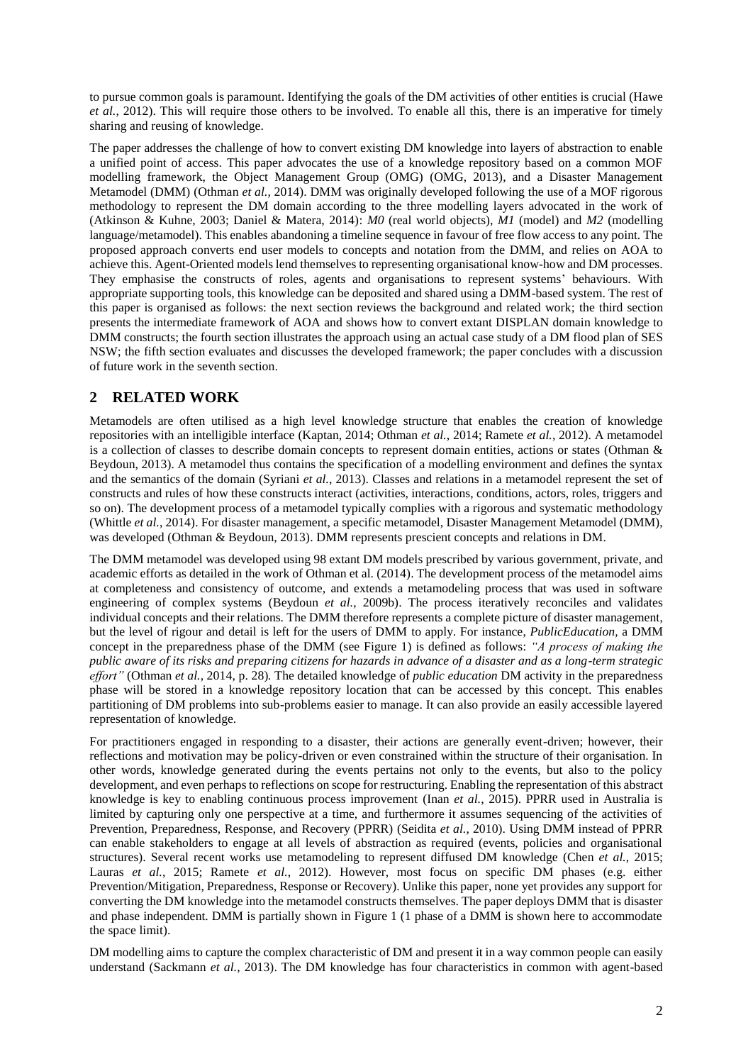to pursue common goals is paramount. Identifying the goals of the DM activities of other entities is crucial (Hawe *et al.*, 2012). This will require those others to be involved. To enable all this, there is an imperative for timely sharing and reusing of knowledge.

The paper addresses the challenge of how to convert existing DM knowledge into layers of abstraction to enable a unified point of access. This paper advocates the use of a knowledge repository based on a common MOF modelling framework, the Object Management Group (OMG) (OMG, 2013), and a Disaster Management Metamodel (DMM) (Othman *et al.*, 2014). DMM was originally developed following the use of a MOF rigorous methodology to represent the DM domain according to the three modelling layers advocated in the work of (Atkinson & Kuhne, 2003; Daniel & Matera, 2014): *M0* (real world objects), *M1* (model) and *M2* (modelling language/metamodel). This enables abandoning a timeline sequence in favour of free flow access to any point. The proposed approach converts end user models to concepts and notation from the DMM, and relies on AOA to achieve this. Agent-Oriented models lend themselves to representing organisational know-how and DM processes. They emphasise the constructs of roles, agents and organisations to represent systems' behaviours. With appropriate supporting tools, this knowledge can be deposited and shared using a DMM-based system. The rest of this paper is organised as follows: the next section reviews the background and related work; the third section presents the intermediate framework of AOA and shows how to convert extant DISPLAN domain knowledge to DMM constructs; the fourth section illustrates the approach using an actual case study of a DM flood plan of SES NSW; the fifth section evaluates and discusses the developed framework; the paper concludes with a discussion of future work in the seventh section.

# **2 RELATED WORK**

Metamodels are often utilised as a high level knowledge structure that enables the creation of knowledge repositories with an intelligible interface (Kaptan, 2014; Othman *et al.*, 2014; Ramete *et al.*, 2012). A metamodel is a collection of classes to describe domain concepts to represent domain entities, actions or states (Othman & Beydoun, 2013). A metamodel thus contains the specification of a modelling environment and defines the syntax and the semantics of the domain (Syriani *et al.*, 2013). Classes and relations in a metamodel represent the set of constructs and rules of how these constructs interact (activities, interactions, conditions, actors, roles, triggers and so on). The development process of a metamodel typically complies with a rigorous and systematic methodology (Whittle *et al.*, 2014). For disaster management, a specific metamodel, Disaster Management Metamodel (DMM), was developed (Othman & Beydoun, 2013). DMM represents prescient concepts and relations in DM.

The DMM metamodel was developed using 98 extant DM models prescribed by various government, private, and academic efforts as detailed in the work of Othman et al. (2014). The development process of the metamodel aims at completeness and consistency of outcome, and extends a metamodeling process that was used in software engineering of complex systems (Beydoun *et al.*, 2009b). The process iteratively reconciles and validates individual concepts and their relations. The DMM therefore represents a complete picture of disaster management, but the level of rigour and detail is left for the users of DMM to apply. For instance, *PublicEducation,* a DMM concept in the preparedness phase of the DMM (see Figure 1) is defined as follows: *"A process of making the public aware of its risks and preparing citizens for hazards in advance of a disaster and as a long-term strategic effort"* (Othman *et al.*, 2014, p. 28)*.* The detailed knowledge of *public education* DM activity in the preparedness phase will be stored in a knowledge repository location that can be accessed by this concept. This enables partitioning of DM problems into sub-problems easier to manage. It can also provide an easily accessible layered representation of knowledge.

For practitioners engaged in responding to a disaster, their actions are generally event-driven; however, their reflections and motivation may be policy-driven or even constrained within the structure of their organisation. In other words, knowledge generated during the events pertains not only to the events, but also to the policy development, and even perhaps to reflections on scope for restructuring. Enabling the representation of this abstract knowledge is key to enabling continuous process improvement (Inan *et al.*, 2015). PPRR used in Australia is limited by capturing only one perspective at a time, and furthermore it assumes sequencing of the activities of Prevention, Preparedness, Response, and Recovery (PPRR) (Seidita *et al.*, 2010). Using DMM instead of PPRR can enable stakeholders to engage at all levels of abstraction as required (events, policies and organisational structures). Several recent works use metamodeling to represent diffused DM knowledge (Chen *et al.*, 2015; Lauras *et al.*, 2015; Ramete *et al.*, 2012). However, most focus on specific DM phases (e.g. either Prevention/Mitigation, Preparedness, Response or Recovery). Unlike this paper, none yet provides any support for converting the DM knowledge into the metamodel constructs themselves. The paper deploys DMM that is disaster and phase independent. DMM is partially shown in Figure 1 (1 phase of a DMM is shown here to accommodate the space limit).

DM modelling aims to capture the complex characteristic of DM and present it in a way common people can easily understand (Sackmann *et al.*, 2013). The DM knowledge has four characteristics in common with agent-based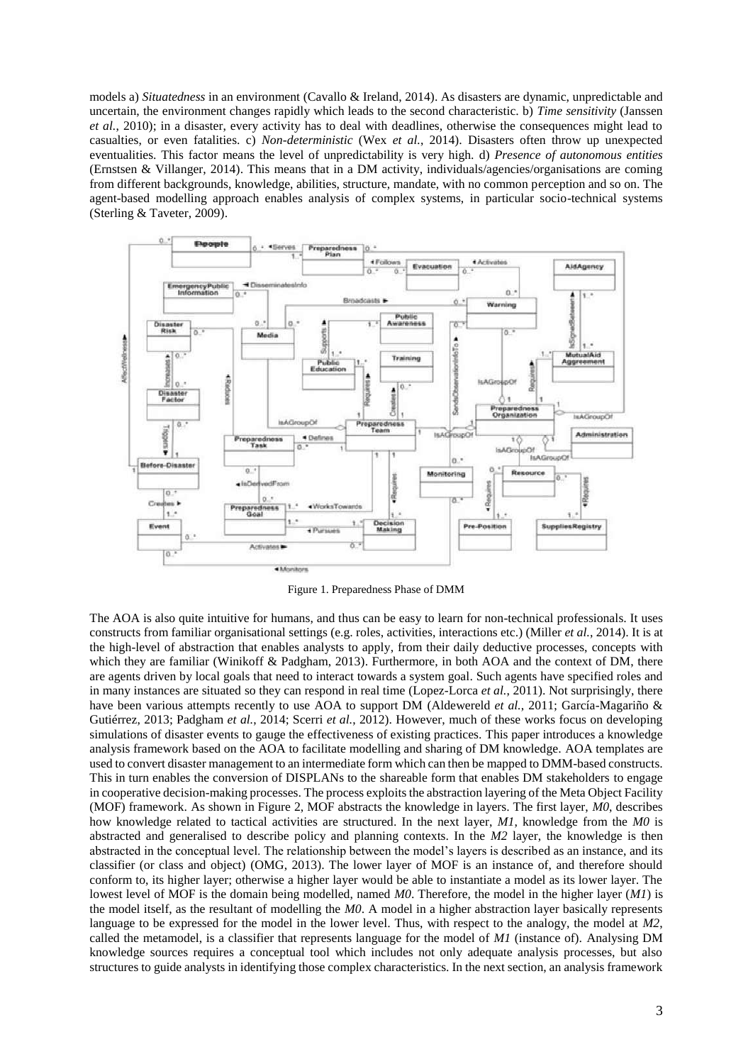models a) *Situatedness* in an environment (Cavallo & Ireland, 2014). As disasters are dynamic, unpredictable and uncertain, the environment changes rapidly which leads to the second characteristic. b) *Time sensitivity* (Janssen *et al.*, 2010); in a disaster, every activity has to deal with deadlines, otherwise the consequences might lead to casualties, or even fatalities. c) *Non-deterministic* (Wex *et al.*, 2014). Disasters often throw up unexpected eventualities. This factor means the level of unpredictability is very high. d) *Presence of autonomous entities* (Ernstsen & Villanger, 2014). This means that in a DM activity, individuals/agencies/organisations are coming from different backgrounds, knowledge, abilities, structure, mandate, with no common perception and so on. The agent-based modelling approach enables analysis of complex systems, in particular socio-technical systems (Sterling & Taveter, 2009).



Figure 1. Preparedness Phase of DMM

The AOA is also quite intuitive for humans, and thus can be easy to learn for non-technical professionals. It uses constructs from familiar organisational settings (e.g. roles, activities, interactions etc.) (Miller *et al.*, 2014). It is at the high-level of abstraction that enables analysts to apply, from their daily deductive processes, concepts with which they are familiar (Winikoff & Padgham, 2013). Furthermore, in both AOA and the context of DM, there are agents driven by local goals that need to interact towards a system goal. Such agents have specified roles and in many instances are situated so they can respond in real time (Lopez-Lorca *et al.*, 2011). Not surprisingly, there have been various attempts recently to use AOA to support DM (Aldewereld *et al.*, 2011; García-Magariño & Gutiérrez, 2013; Padgham *et al.*, 2014; Scerri *et al.*, 2012). However, much of these works focus on developing simulations of disaster events to gauge the effectiveness of existing practices. This paper introduces a knowledge analysis framework based on the AOA to facilitate modelling and sharing of DM knowledge. AOA templates are used to convert disaster management to an intermediate form which can then be mapped to DMM-based constructs. This in turn enables the conversion of DISPLANs to the shareable form that enables DM stakeholders to engage in cooperative decision-making processes. The process exploits the abstraction layering of the Meta Object Facility (MOF) framework. As shown in Figure 2, MOF abstracts the knowledge in layers. The first layer, *M0*, describes how knowledge related to tactical activities are structured. In the next layer, *M1*, knowledge from the *M0* is abstracted and generalised to describe policy and planning contexts. In the *M2* layer, the knowledge is then abstracted in the conceptual level. The relationship between the model's layers is described as an instance, and its classifier (or class and object) (OMG, 2013). The lower layer of MOF is an instance of, and therefore should conform to, its higher layer; otherwise a higher layer would be able to instantiate a model as its lower layer. The lowest level of MOF is the domain being modelled, named *M0*. Therefore, the model in the higher layer (*M1*) is the model itself, as the resultant of modelling the *M0*. A model in a higher abstraction layer basically represents language to be expressed for the model in the lower level. Thus, with respect to the analogy, the model at *M2*, called the metamodel, is a classifier that represents language for the model of *M1* (instance of). Analysing DM knowledge sources requires a conceptual tool which includes not only adequate analysis processes, but also structures to guide analysts in identifying those complex characteristics. In the next section, an analysis framework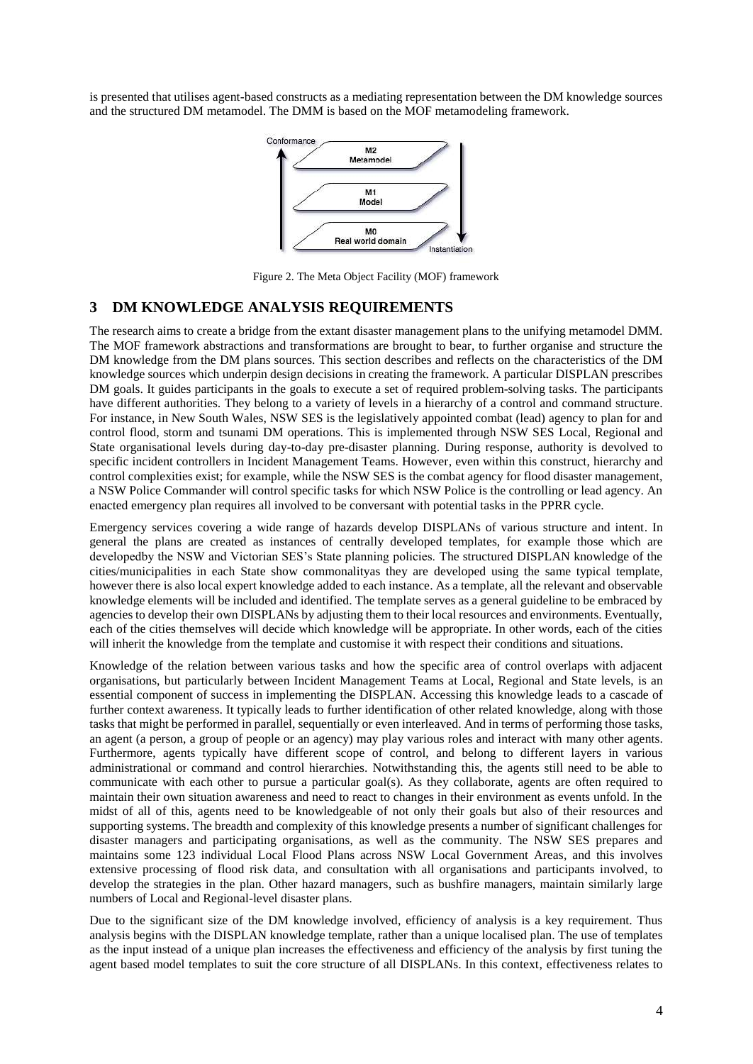is presented that utilises agent-based constructs as a mediating representation between the DM knowledge sources and the structured DM metamodel. The DMM is based on the MOF metamodeling framework.



Figure 2. The Meta Object Facility (MOF) framework

## **3 DM KNOWLEDGE ANALYSIS REQUIREMENTS**

The research aims to create a bridge from the extant disaster management plans to the unifying metamodel DMM. The MOF framework abstractions and transformations are brought to bear, to further organise and structure the DM knowledge from the DM plans sources. This section describes and reflects on the characteristics of the DM knowledge sources which underpin design decisions in creating the framework. A particular DISPLAN prescribes DM goals. It guides participants in the goals to execute a set of required problem-solving tasks. The participants have different authorities. They belong to a variety of levels in a hierarchy of a control and command structure. For instance, in New South Wales, NSW SES is the legislatively appointed combat (lead) agency to plan for and control flood, storm and tsunami DM operations. This is implemented through NSW SES Local, Regional and State organisational levels during day-to-day pre-disaster planning. During response, authority is devolved to specific incident controllers in Incident Management Teams. However, even within this construct, hierarchy and control complexities exist; for example, while the NSW SES is the combat agency for flood disaster management, a NSW Police Commander will control specific tasks for which NSW Police is the controlling or lead agency. An enacted emergency plan requires all involved to be conversant with potential tasks in the PPRR cycle.

Emergency services covering a wide range of hazards develop DISPLANs of various structure and intent. In general the plans are created as instances of centrally developed templates, for example those which are developedby the NSW and Victorian SES's State planning policies. The structured DISPLAN knowledge of the cities/municipalities in each State show commonalityas they are developed using the same typical template, however there is also local expert knowledge added to each instance. As a template, all the relevant and observable knowledge elements will be included and identified. The template serves as a general guideline to be embraced by agencies to develop their own DISPLANs by adjusting them to their local resources and environments. Eventually, each of the cities themselves will decide which knowledge will be appropriate. In other words, each of the cities will inherit the knowledge from the template and customise it with respect their conditions and situations.

Knowledge of the relation between various tasks and how the specific area of control overlaps with adjacent organisations, but particularly between Incident Management Teams at Local, Regional and State levels, is an essential component of success in implementing the DISPLAN. Accessing this knowledge leads to a cascade of further context awareness. It typically leads to further identification of other related knowledge, along with those tasks that might be performed in parallel, sequentially or even interleaved. And in terms of performing those tasks, an agent (a person, a group of people or an agency) may play various roles and interact with many other agents. Furthermore, agents typically have different scope of control, and belong to different layers in various administrational or command and control hierarchies. Notwithstanding this, the agents still need to be able to communicate with each other to pursue a particular goal(s). As they collaborate, agents are often required to maintain their own situation awareness and need to react to changes in their environment as events unfold. In the midst of all of this, agents need to be knowledgeable of not only their goals but also of their resources and supporting systems. The breadth and complexity of this knowledge presents a number of significant challenges for disaster managers and participating organisations, as well as the community. The NSW SES prepares and maintains some 123 individual Local Flood Plans across NSW Local Government Areas, and this involves extensive processing of flood risk data, and consultation with all organisations and participants involved, to develop the strategies in the plan. Other hazard managers, such as bushfire managers, maintain similarly large numbers of Local and Regional-level disaster plans.

Due to the significant size of the DM knowledge involved, efficiency of analysis is a key requirement. Thus analysis begins with the DISPLAN knowledge template, rather than a unique localised plan. The use of templates as the input instead of a unique plan increases the effectiveness and efficiency of the analysis by first tuning the agent based model templates to suit the core structure of all DISPLANs. In this context, effectiveness relates to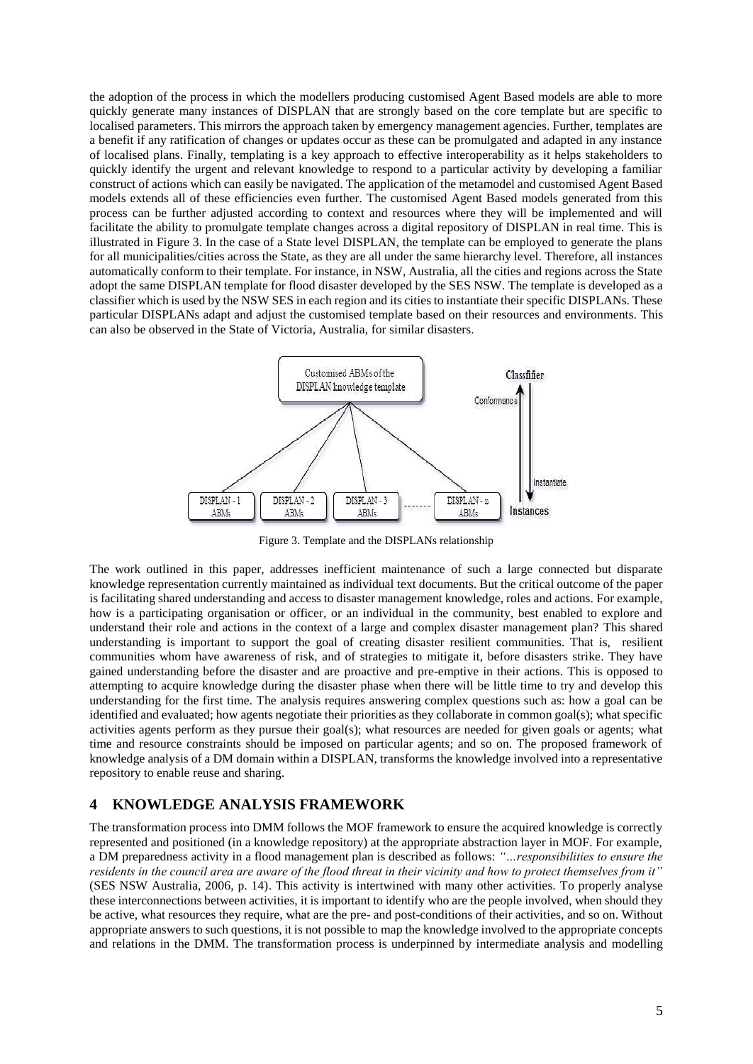the adoption of the process in which the modellers producing customised Agent Based models are able to more quickly generate many instances of DISPLAN that are strongly based on the core template but are specific to localised parameters. This mirrors the approach taken by emergency management agencies. Further, templates are a benefit if any ratification of changes or updates occur as these can be promulgated and adapted in any instance of localised plans. Finally, templating is a key approach to effective interoperability as it helps stakeholders to quickly identify the urgent and relevant knowledge to respond to a particular activity by developing a familiar construct of actions which can easily be navigated. The application of the metamodel and customised Agent Based models extends all of these efficiencies even further. The customised Agent Based models generated from this process can be further adjusted according to context and resources where they will be implemented and will facilitate the ability to promulgate template changes across a digital repository of DISPLAN in real time. This is illustrated in Figure 3. In the case of a State level DISPLAN, the template can be employed to generate the plans for all municipalities/cities across the State, as they are all under the same hierarchy level. Therefore, all instances automatically conform to their template. For instance, in NSW, Australia, all the cities and regions across the State adopt the same DISPLAN template for flood disaster developed by the SES NSW. The template is developed as a classifier which is used by the NSW SES in each region and its cities to instantiate their specific DISPLANs. These particular DISPLANs adapt and adjust the customised template based on their resources and environments. This can also be observed in the State of Victoria, Australia, for similar disasters.



Figure 3. Template and the DISPLANs relationship

The work outlined in this paper, addresses inefficient maintenance of such a large connected but disparate knowledge representation currently maintained as individual text documents. But the critical outcome of the paper is facilitating shared understanding and access to disaster management knowledge, roles and actions. For example, how is a participating organisation or officer, or an individual in the community, best enabled to explore and understand their role and actions in the context of a large and complex disaster management plan? This shared understanding is important to support the goal of creating disaster resilient communities. That is, resilient communities whom have awareness of risk, and of strategies to mitigate it, before disasters strike. They have gained understanding before the disaster and are proactive and pre-emptive in their actions. This is opposed to attempting to acquire knowledge during the disaster phase when there will be little time to try and develop this understanding for the first time. The analysis requires answering complex questions such as: how a goal can be identified and evaluated; how agents negotiate their priorities as they collaborate in common goal(s); what specific activities agents perform as they pursue their goal(s); what resources are needed for given goals or agents; what time and resource constraints should be imposed on particular agents; and so on. The proposed framework of knowledge analysis of a DM domain within a DISPLAN, transforms the knowledge involved into a representative repository to enable reuse and sharing.

## **4 KNOWLEDGE ANALYSIS FRAMEWORK**

The transformation process into DMM follows the MOF framework to ensure the acquired knowledge is correctly represented and positioned (in a knowledge repository) at the appropriate abstraction layer in MOF. For example, a DM preparedness activity in a flood management plan is described as follows: *"…responsibilities to ensure the residents in the council area are aware of the flood threat in their vicinity and how to protect themselves from it"* (SES NSW Australia, 2006, p. 14). This activity is intertwined with many other activities. To properly analyse these interconnections between activities, it is important to identify who are the people involved, when should they be active, what resources they require, what are the pre- and post-conditions of their activities, and so on. Without appropriate answers to such questions, it is not possible to map the knowledge involved to the appropriate concepts and relations in the DMM. The transformation process is underpinned by intermediate analysis and modelling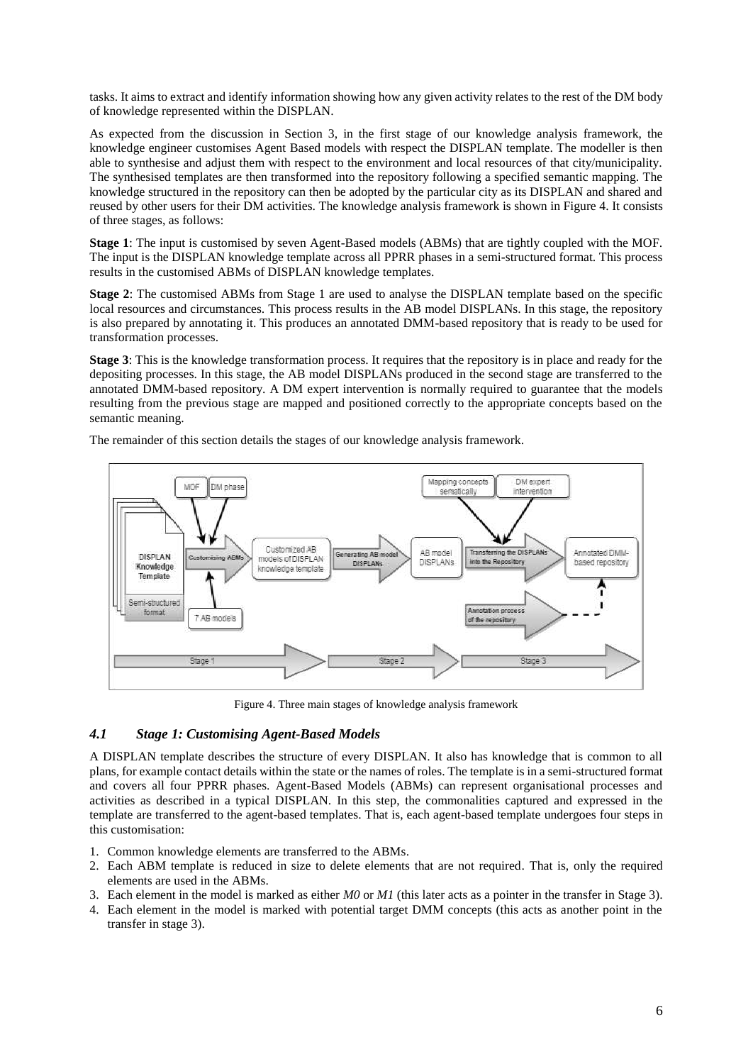tasks. It aims to extract and identify information showing how any given activity relates to the rest of the DM body of knowledge represented within the DISPLAN.

As expected from the discussion in Section 3, in the first stage of our knowledge analysis framework, the knowledge engineer customises Agent Based models with respect the DISPLAN template. The modeller is then able to synthesise and adjust them with respect to the environment and local resources of that city/municipality. The synthesised templates are then transformed into the repository following a specified semantic mapping. The knowledge structured in the repository can then be adopted by the particular city as its DISPLAN and shared and reused by other users for their DM activities. The knowledge analysis framework is shown in Figure 4. It consists of three stages, as follows:

**Stage 1**: The input is customised by seven Agent-Based models (ABMs) that are tightly coupled with the MOF. The input is the DISPLAN knowledge template across all PPRR phases in a semi-structured format. This process results in the customised ABMs of DISPLAN knowledge templates.

**Stage 2**: The customised ABMs from Stage 1 are used to analyse the DISPLAN template based on the specific local resources and circumstances. This process results in the AB model DISPLANs. In this stage, the repository is also prepared by annotating it. This produces an annotated DMM-based repository that is ready to be used for transformation processes.

**Stage 3**: This is the knowledge transformation process. It requires that the repository is in place and ready for the depositing processes. In this stage, the AB model DISPLANs produced in the second stage are transferred to the annotated DMM-based repository. A DM expert intervention is normally required to guarantee that the models resulting from the previous stage are mapped and positioned correctly to the appropriate concepts based on the semantic meaning.

The remainder of this section details the stages of our knowledge analysis framework.



Figure 4. Three main stages of knowledge analysis framework

### *4.1 Stage 1: Customising Agent-Based Models*

A DISPLAN template describes the structure of every DISPLAN. It also has knowledge that is common to all plans, for example contact details within the state or the names of roles. The template is in a semi-structured format and covers all four PPRR phases. Agent-Based Models (ABMs) can represent organisational processes and activities as described in a typical DISPLAN. In this step, the commonalities captured and expressed in the template are transferred to the agent-based templates. That is, each agent-based template undergoes four steps in this customisation:

- 1. Common knowledge elements are transferred to the ABMs.
- 2. Each ABM template is reduced in size to delete elements that are not required. That is, only the required elements are used in the ABMs.
- 3. Each element in the model is marked as either *M0* or *M1* (this later acts as a pointer in the transfer in Stage 3).
- 4. Each element in the model is marked with potential target DMM concepts (this acts as another point in the transfer in stage 3).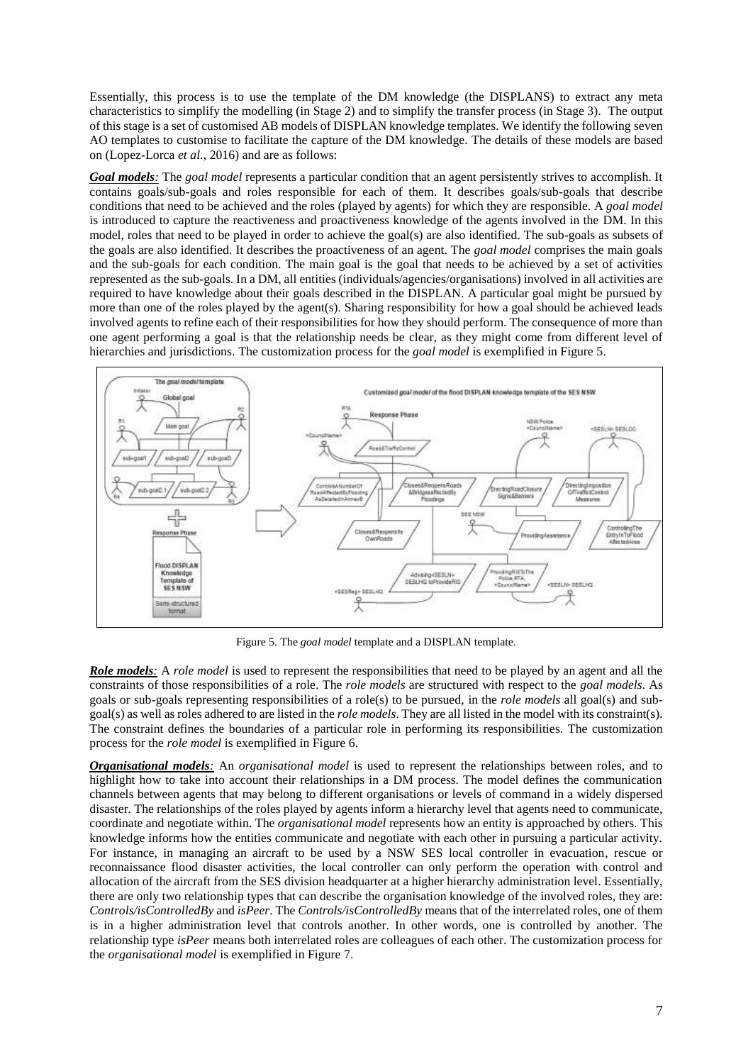Essentially, this process is to use the template of the DM knowledge (the DISPLANS) to extract any meta characteristics to simplify the modelling (in Stage 2) and to simplify the transfer process (in Stage 3). The output of this stage is a set of customised AB models of DISPLAN knowledge templates. We identify the following seven AO templates to customise to facilitate the capture of the DM knowledge. The details of these models are based on (Lopez-Lorca *et al.*, 2016) and are as follows:

*Goal models:* The *goal model* represents a particular condition that an agent persistently strives to accomplish. It contains goals/sub-goals and roles responsible for each of them. It describes goals/sub-goals that describe conditions that need to be achieved and the roles (played by agents) for which they are responsible. A *goal model* is introduced to capture the reactiveness and proactiveness knowledge of the agents involved in the DM. In this model, roles that need to be played in order to achieve the goal(s) are also identified. The sub-goals as subsets of the goals are also identified. It describes the proactiveness of an agent. The *goal model* comprises the main goals and the sub-goals for each condition. The main goal is the goal that needs to be achieved by a set of activities represented as the sub-goals. In a DM, all entities (individuals/agencies/organisations) involved in all activities are required to have knowledge about their goals described in the DISPLAN. A particular goal might be pursued by more than one of the roles played by the agent(s). Sharing responsibility for how a goal should be achieved leads involved agents to refine each of their responsibilities for how they should perform. The consequence of more than one agent performing a goal is that the relationship needs be clear, as they might come from different level of hierarchies and jurisdictions. The customization process for the *goal model* is exemplified in Figure 5.



Figure 5. The *goal model* template and a DISPLAN template.

*Role models:* A *role model* is used to represent the responsibilities that need to be played by an agent and all the constraints of those responsibilities of a role. The *role models* are structured with respect to the *goal models*. As goals or sub-goals representing responsibilities of a role(s) to be pursued, in the *role models* all goal(s) and subgoal(s) as well as roles adhered to are listed in the *role models*. They are all listed in the model with its constraint(s). The constraint defines the boundaries of a particular role in performing its responsibilities. The customization process for the *role model* is exemplified in Figure 6.

*Organisational models:* An *organisational model* is used to represent the relationships between roles, and to highlight how to take into account their relationships in a DM process. The model defines the communication channels between agents that may belong to different organisations or levels of command in a widely dispersed disaster. The relationships of the roles played by agents inform a hierarchy level that agents need to communicate, coordinate and negotiate within. The *organisational model* represents how an entity is approached by others. This knowledge informs how the entities communicate and negotiate with each other in pursuing a particular activity. For instance, in managing an aircraft to be used by a NSW SES local controller in evacuation, rescue or reconnaissance flood disaster activities, the local controller can only perform the operation with control and allocation of the aircraft from the SES division headquarter at a higher hierarchy administration level. Essentially, there are only two relationship types that can describe the organisation knowledge of the involved roles, they are: *Controls/isControlledBy* and *isPeer*. The *Controls/isControlledBy* means that of the interrelated roles, one of them is in a higher administration level that controls another. In other words, one is controlled by another. The relationship type *isPeer* means both interrelated roles are colleagues of each other. The customization process for the *organisational model* is exemplified in Figure 7.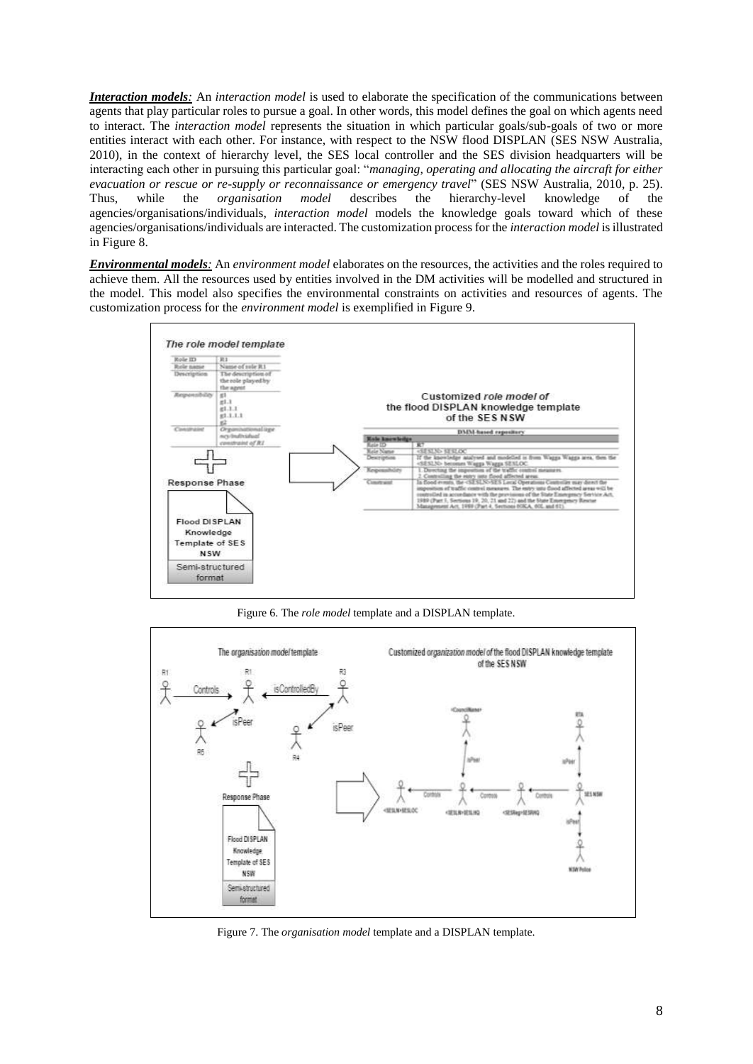*Interaction models:* An *interaction model* is used to elaborate the specification of the communications between agents that play particular roles to pursue a goal. In other words, this model defines the goal on which agents need to interact. The *interaction model* represents the situation in which particular goals/sub-goals of two or more entities interact with each other. For instance, with respect to the NSW flood DISPLAN (SES NSW Australia, 2010), in the context of hierarchy level, the SES local controller and the SES division headquarters will be interacting each other in pursuing this particular goal: "*managing, operating and allocating the aircraft for either evacuation or rescue or re-supply or reconnaissance or emergency travel*" (SES NSW Australia, 2010, p. 25). Thus, while the *organisation model* describes the hierarchy-level knowledge of the agencies/organisations/individuals, *interaction model* models the knowledge goals toward which of these agencies/organisations/individuals are interacted. The customization process for the *interaction model* isillustrated in Figure 8.

*Environmental models:* An *environment model* elaborates on the resources, the activities and the roles required to achieve them. All the resources used by entities involved in the DM activities will be modelled and structured in the model. This model also specifies the environmental constraints on activities and resources of agents. The customization process for the *environment model* is exemplified in Figure 9.



Figure 6. The *role model* template and a DISPLAN template.



Figure 7. The *organisation model* template and a DISPLAN template.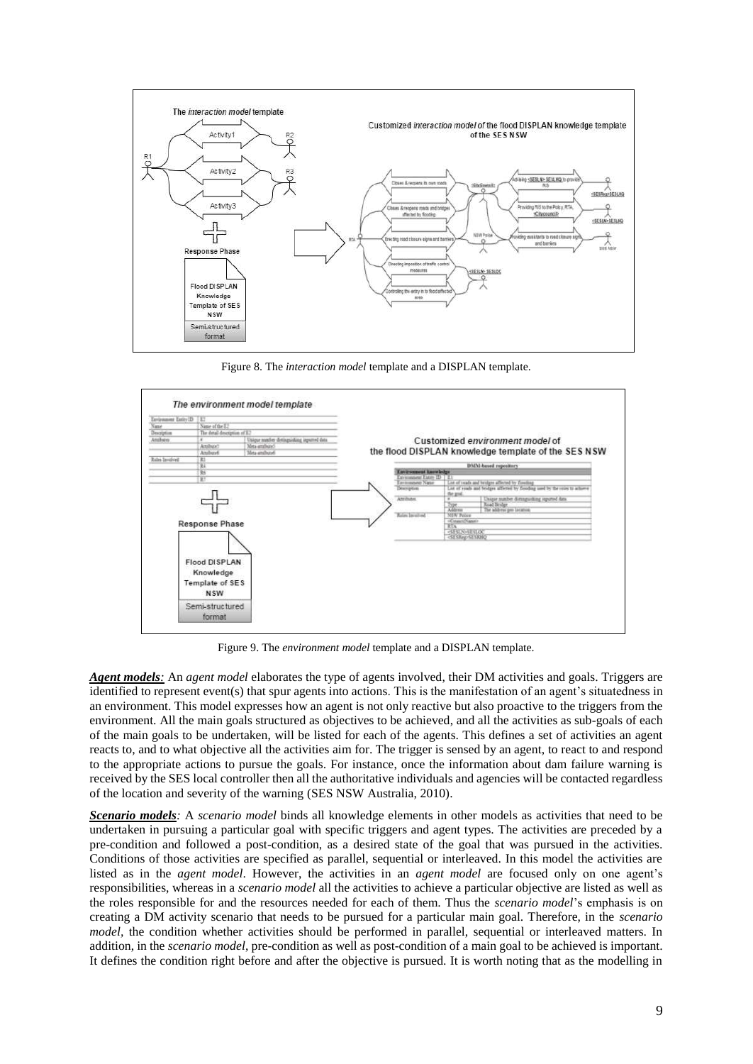

Figure 8. The *interaction model* template and a DISPLAN template.



Figure 9. The *environment model* template and a DISPLAN template.

*Agent models:* An *agent model* elaborates the type of agents involved, their DM activities and goals. Triggers are identified to represent event(s) that spur agents into actions. This is the manifestation of an agent's situatedness in an environment. This model expresses how an agent is not only reactive but also proactive to the triggers from the environment. All the main goals structured as objectives to be achieved, and all the activities as sub-goals of each of the main goals to be undertaken, will be listed for each of the agents. This defines a set of activities an agent reacts to, and to what objective all the activities aim for. The trigger is sensed by an agent, to react to and respond to the appropriate actions to pursue the goals. For instance, once the information about dam failure warning is received by the SES local controller then all the authoritative individuals and agencies will be contacted regardless of the location and severity of the warning (SES NSW Australia, 2010).

*Scenario models:* A *scenario model* binds all knowledge elements in other models as activities that need to be undertaken in pursuing a particular goal with specific triggers and agent types. The activities are preceded by a pre-condition and followed a post-condition, as a desired state of the goal that was pursued in the activities. Conditions of those activities are specified as parallel, sequential or interleaved. In this model the activities are listed as in the *agent model*. However, the activities in an *agent model* are focused only on one agent's responsibilities, whereas in a *scenario model* all the activities to achieve a particular objective are listed as well as the roles responsible for and the resources needed for each of them. Thus the *scenario model*'s emphasis is on creating a DM activity scenario that needs to be pursued for a particular main goal. Therefore, in the *scenario model*, the condition whether activities should be performed in parallel, sequential or interleaved matters. In addition, in the *scenario model*, pre-condition as well as post-condition of a main goal to be achieved is important. It defines the condition right before and after the objective is pursued. It is worth noting that as the modelling in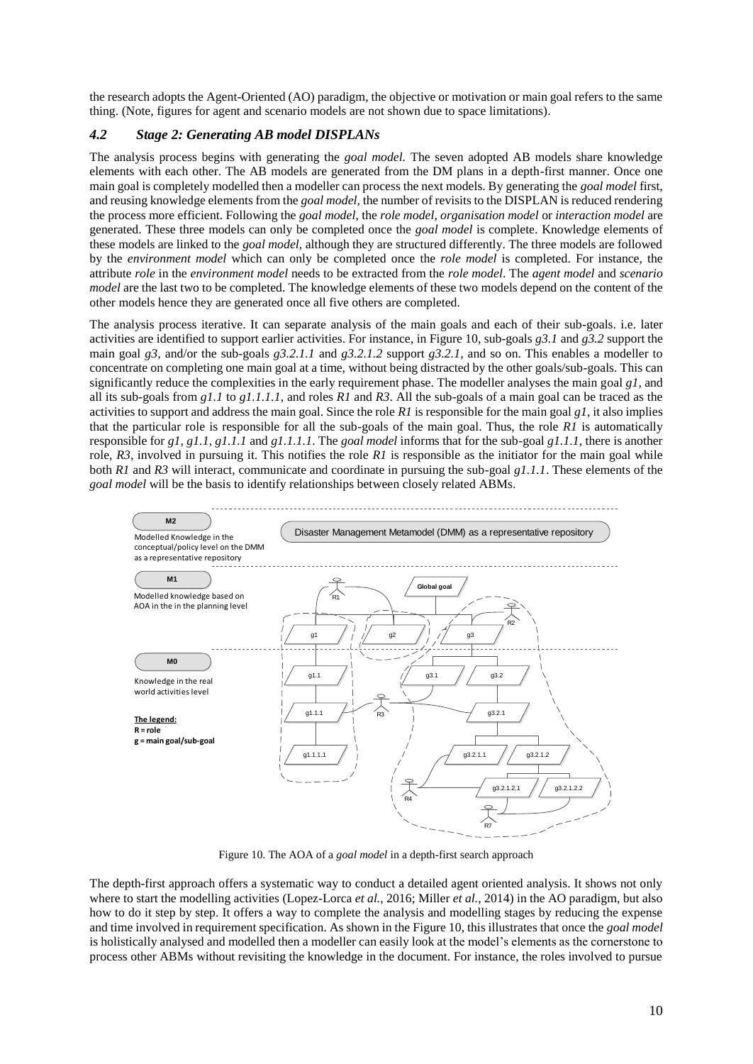the research adopts the Agent-Oriented (AO) paradigm, the objective or motivation or main goal refers to the same thing. (Note, figures for agent and scenario models are not shown due to space limitations).

## *4.2 Stage 2: Generating AB model DISPLANs*

The analysis process begins with generating the *goal model.* The seven adopted AB models share knowledge elements with each other. The AB models are generated from the DM plans in a depth-first manner. Once one main goal is completely modelled then a modeller can process the next models. By generating the *goal model* first, and reusing knowledge elements from the *goal model,* the number of revisits to the DISPLAN is reduced rendering the process more efficient. Following the *goal model*, the *role model, organisation model* or *interaction model* are generated. These three models can only be completed once the *goal model* is complete. Knowledge elements of these models are linked to the *goal model,* although they are structured differently. The three models are followed by the *environment model* which can only be completed once the *role model* is completed. For instance, the attribute *role* in the *environment model* needs to be extracted from the *role model*. The *agent model* and *scenario model* are the last two to be completed. The knowledge elements of these two models depend on the content of the other models hence they are generated once all five others are completed.

The analysis process iterative. It can separate analysis of the main goals and each of their sub-goals. i.e. later activities are identified to support earlier activities. For instance, in Figure 10, sub-goals *g3.1* and *g3.2* support the main goal *g3,* and/or the sub-goals *g3.2.1.1* and *g3.2.1.2* support *g3.2.1,* and so on. This enables a modeller to concentrate on completing one main goal at a time, without being distracted by the other goals/sub-goals. This can significantly reduce the complexities in the early requirement phase. The modeller analyses the main goal *g1,* and all its sub-goals from *g1.1* to *g1.1.1.1*, and roles *R1* and *R3*. All the sub-goals of a main goal can be traced as the activities to support and address the main goal. Since the role RI is responsible for the main goal  $gI$ , it also implies that the particular role is responsible for all the sub-goals of the main goal. Thus, the role *R1* is automatically responsible for *g1, g1.1, g1.1.1* and *g1.1.1.1*. The *goal model* informs that for the sub-goal *g1.1.1*, there is another role, *R3*, involved in pursuing it. This notifies the role *R1* is responsible as the initiator for the main goal while both *R1* and *R3* will interact, communicate and coordinate in pursuing the sub-goal *g1.1.1*. These elements of the *goal model* will be the basis to identify relationships between closely related ABMs.



Figure 10. The AOA of a *goal model* in a depth-first search approach

The depth-first approach offers a systematic way to conduct a detailed agent oriented analysis. It shows not only where to start the modelling activities (Lopez-Lorca *et al.*, 2016; Miller *et al.*, 2014) in the AO paradigm, but also how to do it step by step. It offers a way to complete the analysis and modelling stages by reducing the expense and time involved in requirement specification. As shown in the Figure 10, this illustrates that once the *goal model* is holistically analysed and modelled then a modeller can easily look at the model's elements as the cornerstone to process other ABMs without revisiting the knowledge in the document. For instance, the roles involved to pursue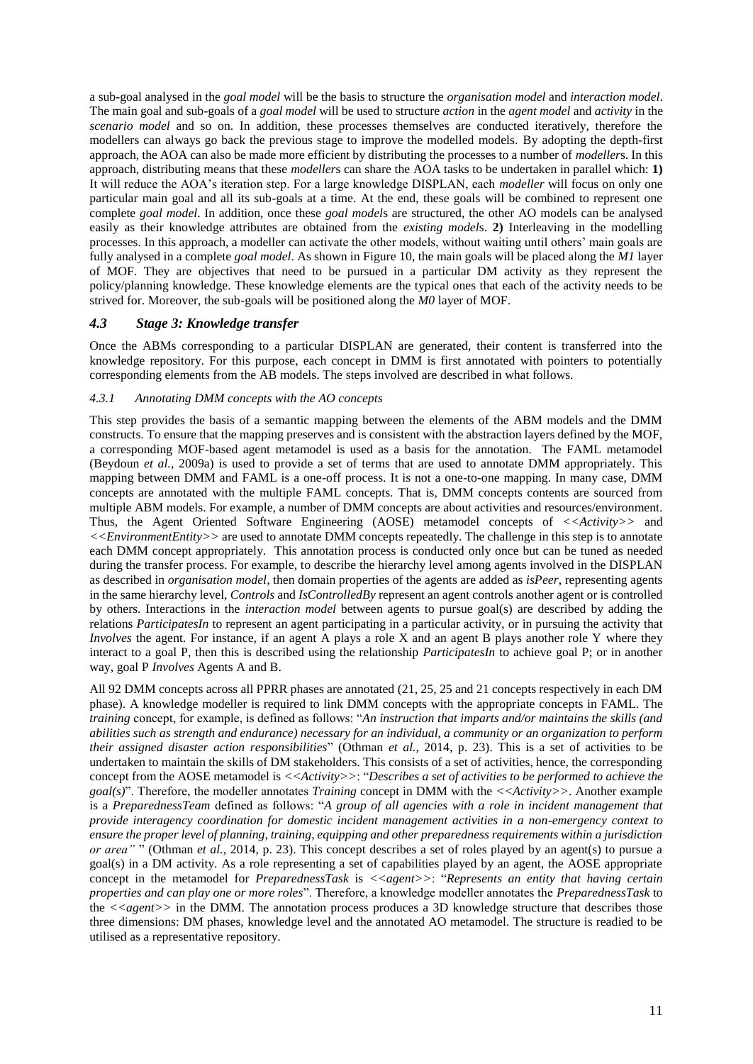a sub-goal analysed in the *goal model* will be the basis to structure the *organisation model* and *interaction model*. The main goal and sub-goals of a *goal model* will be used to structure *action* in the *agent model* and *activity* in the *scenario model* and so on. In addition, these processes themselves are conducted iteratively, therefore the modellers can always go back the previous stage to improve the modelled models. By adopting the depth-first approach, the AOA can also be made more efficient by distributing the processes to a number of *modeller*s. In this approach, distributing means that these *modeller*s can share the AOA tasks to be undertaken in parallel which: **1)** It will reduce the AOA's iteration step. For a large knowledge DISPLAN, each *modeller* will focus on only one particular main goal and all its sub-goals at a time. At the end, these goals will be combined to represent one complete *goal model*. In addition, once these *goal model*s are structured, the other AO models can be analysed easily as their knowledge attributes are obtained from the *existing model*s. **2)** Interleaving in the modelling processes. In this approach, a modeller can activate the other models, without waiting until others' main goals are fully analysed in a complete *goal model*. As shown in Figure 10, the main goals will be placed along the *M1* layer of MOF. They are objectives that need to be pursued in a particular DM activity as they represent the policy/planning knowledge. These knowledge elements are the typical ones that each of the activity needs to be strived for. Moreover, the sub-goals will be positioned along the *M0* layer of MOF.

## *4.3 Stage 3: Knowledge transfer*

Once the ABMs corresponding to a particular DISPLAN are generated, their content is transferred into the knowledge repository. For this purpose, each concept in DMM is first annotated with pointers to potentially corresponding elements from the AB models. The steps involved are described in what follows.

### *4.3.1 Annotating DMM concepts with the AO concepts*

This step provides the basis of a semantic mapping between the elements of the ABM models and the DMM constructs. To ensure that the mapping preserves and is consistent with the abstraction layers defined by the MOF, a corresponding MOF-based agent metamodel is used as a basis for the annotation. The FAML metamodel (Beydoun *et al.*, 2009a) is used to provide a set of terms that are used to annotate DMM appropriately. This mapping between DMM and FAML is a one-off process. It is not a one-to-one mapping. In many case, DMM concepts are annotated with the multiple FAML concepts. That is, DMM concepts contents are sourced from multiple ABM models. For example, a number of DMM concepts are about activities and resources/environment. Thus, the Agent Oriented Software Engineering (AOSE) metamodel concepts of *<<Activity>>* and *<<EnvironmentEntity>>* are used to annotate DMM concepts repeatedly. The challenge in this step is to annotate each DMM concept appropriately. This annotation process is conducted only once but can be tuned as needed during the transfer process. For example, to describe the hierarchy level among agents involved in the DISPLAN as described in *organisation model,* then domain properties of the agents are added as *isPeer*, representing agents in the same hierarchy level, *Controls* and *IsControlledBy* represent an agent controls another agent or is controlled by others. Interactions in the *interaction model* between agents to pursue goal(s) are described by adding the relations *ParticipatesIn* to represent an agent participating in a particular activity, or in pursuing the activity that *Involves* the agent. For instance, if an agent A plays a role X and an agent B plays another role Y where they interact to a goal P, then this is described using the relationship *ParticipatesIn* to achieve goal P; or in another way, goal P *Involves* Agents A and B.

All 92 DMM concepts across all PPRR phases are annotated (21, 25, 25 and 21 concepts respectively in each DM phase). A knowledge modeller is required to link DMM concepts with the appropriate concepts in FAML. The *training* concept, for example, is defined as follows: "*An instruction that imparts and/or maintains the skills (and abilities such as strength and endurance) necessary for an individual, a community or an organization to perform their assigned disaster action responsibilities*" (Othman *et al.*, 2014, p. 23). This is a set of activities to be undertaken to maintain the skills of DM stakeholders. This consists of a set of activities, hence, the corresponding concept from the AOSE metamodel is *<<Activity>>*: "*Describes a set of activities to be performed to achieve the goal(s)*". Therefore, the modeller annotates *Training* concept in DMM with the *<<Activity>>*. Another example is a *PreparednessTeam* defined as follows: "*A group of all agencies with a role in incident management that provide interagency coordination for domestic incident management activities in a non-emergency context to ensure the proper level of planning, training, equipping and other preparedness requirements within a jurisdiction or area"* " (Othman *et al.*, 2014, p. 23). This concept describes a set of roles played by an agent(s) to pursue a goal(s) in a DM activity. As a role representing a set of capabilities played by an agent, the AOSE appropriate concept in the metamodel for *PreparednessTask* is  $\langle \langle \rangle$  *is exagent>>:* "*Represents an entity that having certain properties and can play one or more roles*". Therefore, a knowledge modeller annotates the *PreparednessTask* to the  $\langle \langle \text{e} \rangle$  in the DMM. The annotation process produces a 3D knowledge structure that describes those three dimensions: DM phases, knowledge level and the annotated AO metamodel. The structure is readied to be utilised as a representative repository.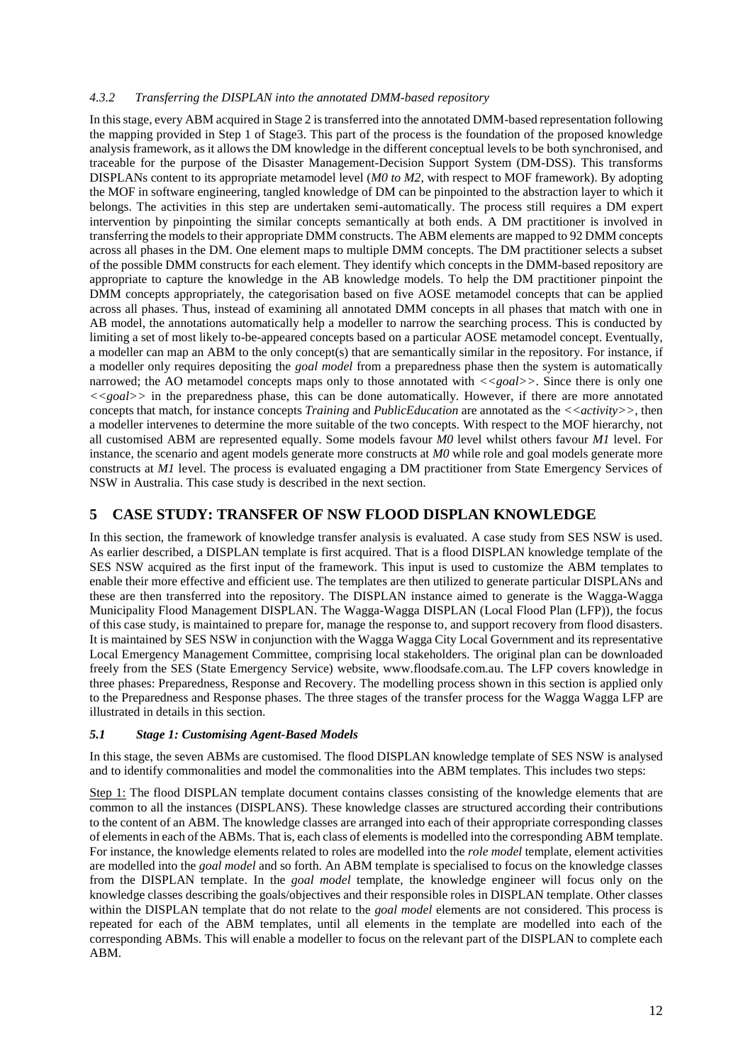#### *4.3.2 Transferring the DISPLAN into the annotated DMM-based repository*

In this stage, every ABM acquired in Stage 2 is transferred into the annotated DMM-based representation following the mapping provided in Step 1 of Stage3. This part of the process is the foundation of the proposed knowledge analysis framework, as it allows the DM knowledge in the different conceptual levels to be both synchronised, and traceable for the purpose of the Disaster Management-Decision Support System (DM-DSS). This transforms DISPLANs content to its appropriate metamodel level (*M0 to M2*, with respect to MOF framework). By adopting the MOF in software engineering, tangled knowledge of DM can be pinpointed to the abstraction layer to which it belongs. The activities in this step are undertaken semi-automatically. The process still requires a DM expert intervention by pinpointing the similar concepts semantically at both ends. A DM practitioner is involved in transferring the models to their appropriate DMM constructs. The ABM elements are mapped to 92 DMM concepts across all phases in the DM. One element maps to multiple DMM concepts. The DM practitioner selects a subset of the possible DMM constructs for each element. They identify which concepts in the DMM-based repository are appropriate to capture the knowledge in the AB knowledge models. To help the DM practitioner pinpoint the DMM concepts appropriately, the categorisation based on five AOSE metamodel concepts that can be applied across all phases. Thus, instead of examining all annotated DMM concepts in all phases that match with one in AB model, the annotations automatically help a modeller to narrow the searching process. This is conducted by limiting a set of most likely to-be-appeared concepts based on a particular AOSE metamodel concept. Eventually, a modeller can map an ABM to the only concept(s) that are semantically similar in the repository. For instance, if a modeller only requires depositing the *goal model* from a preparedness phase then the system is automatically narrowed; the AO metamodel concepts maps only to those annotated with *<<goal>>*. Since there is only one *<<goal>>* in the preparedness phase, this can be done automatically. However, if there are more annotated concepts that match, for instance concepts *Training* and *PublicEducation* are annotated as the  $\langle\langle\langle\langle\langle\rangle\rangle\rangle\rangle$  then a modeller intervenes to determine the more suitable of the two concepts. With respect to the MOF hierarchy, not all customised ABM are represented equally. Some models favour *M0* level whilst others favour *M1* level. For instance, the scenario and agent models generate more constructs at *M0* while role and goal models generate more constructs at *M1* level. The process is evaluated engaging a DM practitioner from State Emergency Services of NSW in Australia. This case study is described in the next section.

## **5 CASE STUDY: TRANSFER OF NSW FLOOD DISPLAN KNOWLEDGE**

In this section, the framework of knowledge transfer analysis is evaluated. A case study from SES NSW is used. As earlier described, a DISPLAN template is first acquired. That is a flood DISPLAN knowledge template of the SES NSW acquired as the first input of the framework. This input is used to customize the ABM templates to enable their more effective and efficient use. The templates are then utilized to generate particular DISPLANs and these are then transferred into the repository. The DISPLAN instance aimed to generate is the Wagga-Wagga Municipality Flood Management DISPLAN. The Wagga-Wagga DISPLAN (Local Flood Plan (LFP)), the focus of this case study, is maintained to prepare for, manage the response to, and support recovery from flood disasters. It is maintained by SES NSW in conjunction with the Wagga Wagga City Local Government and its representative Local Emergency Management Committee, comprising local stakeholders. The original plan can be downloaded freely from the SES (State Emergency Service) website, www.floodsafe.com.au. The LFP covers knowledge in three phases: Preparedness, Response and Recovery. The modelling process shown in this section is applied only to the Preparedness and Response phases. The three stages of the transfer process for the Wagga Wagga LFP are illustrated in details in this section.

#### *5.1 Stage 1: Customising Agent-Based Models*

In this stage, the seven ABMs are customised. The flood DISPLAN knowledge template of SES NSW is analysed and to identify commonalities and model the commonalities into the ABM templates. This includes two steps:

Step 1: The flood DISPLAN template document contains classes consisting of the knowledge elements that are common to all the instances (DISPLANS). These knowledge classes are structured according their contributions to the content of an ABM. The knowledge classes are arranged into each of their appropriate corresponding classes of elements in each of the ABMs. That is, each class of elements is modelled into the corresponding ABM template. For instance, the knowledge elements related to roles are modelled into the *role model* template, element activities are modelled into the *goal model* and so forth. An ABM template is specialised to focus on the knowledge classes from the DISPLAN template. In the *goal model* template, the knowledge engineer will focus only on the knowledge classes describing the goals/objectives and their responsible roles in DISPLAN template. Other classes within the DISPLAN template that do not relate to the *goal model* elements are not considered. This process is repeated for each of the ABM templates, until all elements in the template are modelled into each of the corresponding ABMs. This will enable a modeller to focus on the relevant part of the DISPLAN to complete each ABM.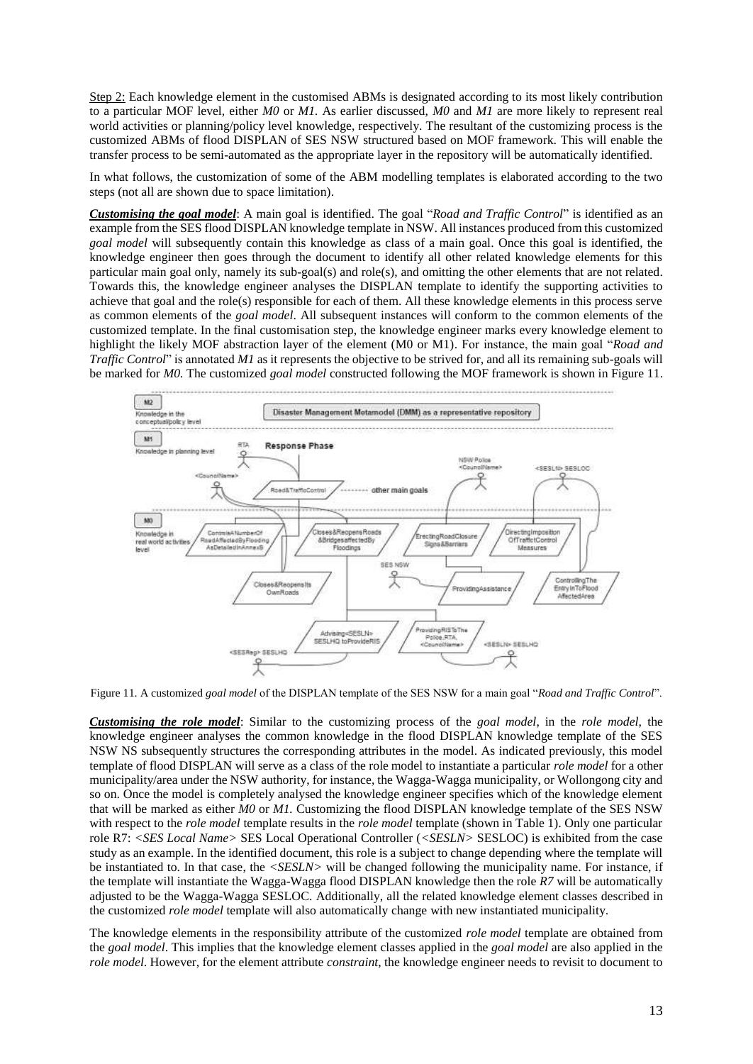Step 2: Each knowledge element in the customised ABMs is designated according to its most likely contribution to a particular MOF level, either *M0* or *M1.* As earlier discussed, *M0* and *M1* are more likely to represent real world activities or planning/policy level knowledge, respectively. The resultant of the customizing process is the customized ABMs of flood DISPLAN of SES NSW structured based on MOF framework. This will enable the transfer process to be semi-automated as the appropriate layer in the repository will be automatically identified.

In what follows, the customization of some of the ABM modelling templates is elaborated according to the two steps (not all are shown due to space limitation).

*Customising the goal model*: A main goal is identified. The goal "*Road and Traffic Control*" is identified as an example from the SES flood DISPLAN knowledge template in NSW. All instances produced from this customized *goal model* will subsequently contain this knowledge as class of a main goal. Once this goal is identified, the knowledge engineer then goes through the document to identify all other related knowledge elements for this particular main goal only, namely its sub-goal(s) and role(s), and omitting the other elements that are not related. Towards this, the knowledge engineer analyses the DISPLAN template to identify the supporting activities to achieve that goal and the role(s) responsible for each of them. All these knowledge elements in this process serve as common elements of the *goal model*. All subsequent instances will conform to the common elements of the customized template. In the final customisation step, the knowledge engineer marks every knowledge element to highlight the likely MOF abstraction layer of the element (M0 or M1). For instance, the main goal "*Road and Traffic Control*" is annotated *M1* as it represents the objective to be strived for, and all its remaining sub-goals will be marked for *M0.* The customized *goal model* constructed following the MOF framework is shown in Figure 11.



Figure 11. A customized *goal model* of the DISPLAN template of the SES NSW for a main goal "*Road and Traffic Control*".

*Customising the role model*: Similar to the customizing process of the *goal model*, in the *role model*, the knowledge engineer analyses the common knowledge in the flood DISPLAN knowledge template of the SES NSW NS subsequently structures the corresponding attributes in the model. As indicated previously, this model template of flood DISPLAN will serve as a class of the role model to instantiate a particular *role model* for a other municipality/area under the NSW authority, for instance, the Wagga-Wagga municipality, or Wollongong city and so on. Once the model is completely analysed the knowledge engineer specifies which of the knowledge element that will be marked as either *M0* or *M1.* Customizing the flood DISPLAN knowledge template of the SES NSW with respect to the *role model* template results in the *role model* template (shown in Table 1). Only one particular role R7: *<SES Local Name>* SES Local Operational Controller (*<SESLN>* SESLOC) is exhibited from the case study as an example. In the identified document, this role is a subject to change depending where the template will be instantiated to. In that case, the *<SESLN>* will be changed following the municipality name. For instance, if the template will instantiate the Wagga-Wagga flood DISPLAN knowledge then the role *R7* will be automatically adjusted to be the Wagga-Wagga SESLOC. Additionally, all the related knowledge element classes described in the customized *role model* template will also automatically change with new instantiated municipality.

The knowledge elements in the responsibility attribute of the customized *role model* template are obtained from the *goal model*. This implies that the knowledge element classes applied in the *goal model* are also applied in the *role model*. However, for the element attribute *constraint*, the knowledge engineer needs to revisit to document to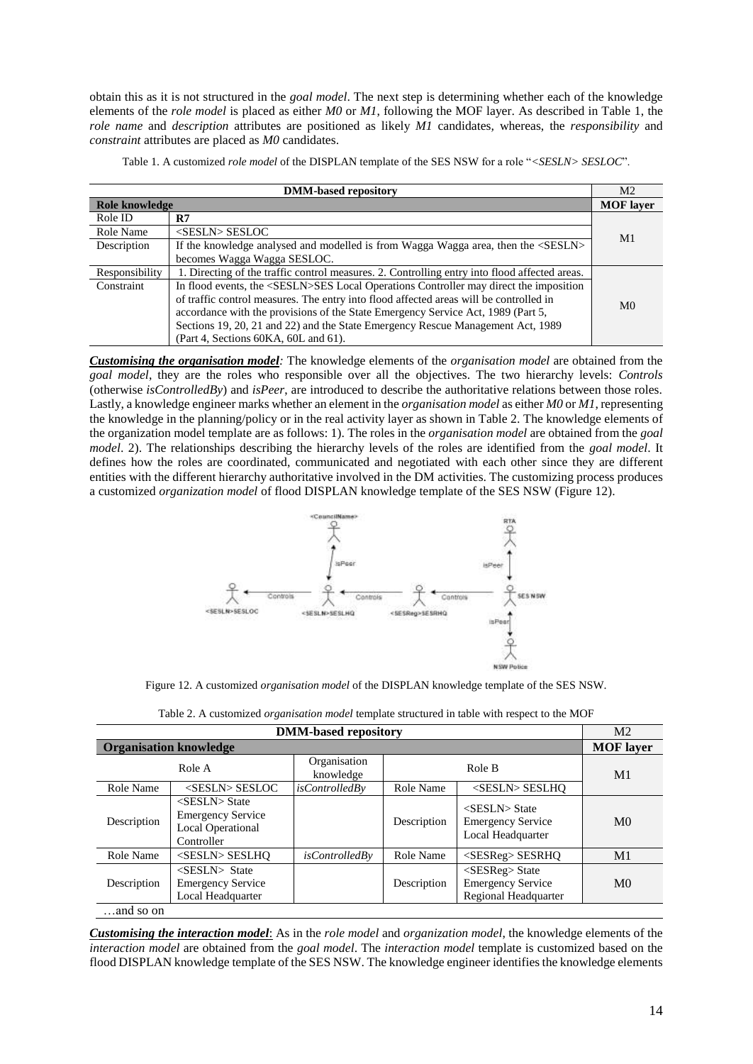obtain this as it is not structured in the *goal model*. The next step is determining whether each of the knowledge elements of the *role model* is placed as either *M0* or *M1*, following the MOF layer. As described in Table 1, the *role name* and *description* attributes are positioned as likely *M1* candidates*,* whereas, the *responsibility* and *constraint* attributes are placed as *M0* candidates.

| Table 1. A customized <i>role model</i> of the DISPLAN template of the SES NSW for a role " <sesln> SESLOC".</sesln> |  |
|----------------------------------------------------------------------------------------------------------------------|--|
|----------------------------------------------------------------------------------------------------------------------|--|

|                | <b>DMM-based repository</b>                                                                   | M <sub>2</sub>   |
|----------------|-----------------------------------------------------------------------------------------------|------------------|
| Role knowledge |                                                                                               | <b>MOF</b> laver |
| Role ID        | R7                                                                                            |                  |
| Role Name      | <sesln> SESLOC</sesln>                                                                        | M1               |
| Description    | If the knowledge analysed and modelled is from Wagga Wagga area, then the <sesln></sesln>     |                  |
|                | becomes Wagga Wagga SESLOC.                                                                   |                  |
| Responsibility | 1. Directing of the traffic control measures. 2. Controlling entry into flood affected areas. |                  |
| Constraint     | In flood events, the <sesln>SES Local Operations Controller may direct the imposition</sesln> |                  |
|                | of traffic control measures. The entry into flood affected areas will be controlled in        | M <sub>0</sub>   |
|                | accordance with the provisions of the State Emergency Service Act, 1989 (Part 5,              |                  |
|                | Sections 19, 20, 21 and 22) and the State Emergency Rescue Management Act, 1989               |                  |
|                | (Part 4, Sections 60KA, 60L and 61).                                                          |                  |

*Customising the organisation model:* The knowledge elements of the *organisation model* are obtained from the *goal model*, they are the roles who responsible over all the objectives. The two hierarchy levels: *Controls* (otherwise *isControlledBy*) and *isPeer*, are introduced to describe the authoritative relations between those roles. Lastly, a knowledge engineer marks whether an element in the *organisation model* as either *M0* or *M1*, representing the knowledge in the planning/policy or in the real activity layer as shown in Table 2. The knowledge elements of the organization model template are as follows: 1). The roles in the *organisation model* are obtained from the *goal model*. 2). The relationships describing the hierarchy levels of the roles are identified from the *goal model*. It defines how the roles are coordinated, communicated and negotiated with each other since they are different entities with the different hierarchy authoritative involved in the DM activities. The customizing process produces a customized *organization model* of flood DISPLAN knowledge template of the SES NSW (Figure 12).



Figure 12. A customized *organisation model* of the DISPLAN knowledge template of the SES NSW.

| <b>DMM-based repository</b>   |                                                                                    |                           |             | M <sub>2</sub>                                                           |                |
|-------------------------------|------------------------------------------------------------------------------------|---------------------------|-------------|--------------------------------------------------------------------------|----------------|
| <b>Organisation knowledge</b> |                                                                                    |                           |             | <b>MOF</b> layer                                                         |                |
| Role A                        |                                                                                    | Organisation<br>knowledge | Role B      |                                                                          | M1             |
| Role Name                     | <sesln> SESLOC</sesln>                                                             | <i>isControlledBy</i>     | Role Name   | <sesln> SESLHO</sesln>                                                   |                |
| Description                   | $<$ SESLN $>$ State<br><b>Emergency Service</b><br>Local Operational<br>Controller |                           | Description | $<$ SESLN $>$ State<br><b>Emergency Service</b><br>Local Headquarter     | M <sub>0</sub> |
| Role Name                     | <sesln> SESLHO</sesln>                                                             | <i>isControlledBy</i>     | Role Name   | <sesreg> SESRHO</sesreg>                                                 | M1             |
| Description                   | $<$ SESLN> State<br><b>Emergency Service</b><br>Local Headquarter                  |                           | Description | $<$ SESReg $>$ State<br><b>Emergency Service</b><br>Regional Headquarter | M <sub>0</sub> |
| $\ldots$ and so on            |                                                                                    |                           |             |                                                                          |                |

Table 2. A customized *organisation model* template structured in table with respect to the MOF

*Customising the interaction model*: As in the *role model* and *organization model*, the knowledge elements of the *interaction model* are obtained from the *goal model*. The *interaction model* template is customized based on the flood DISPLAN knowledge template of the SES NSW. The knowledge engineer identifies the knowledge elements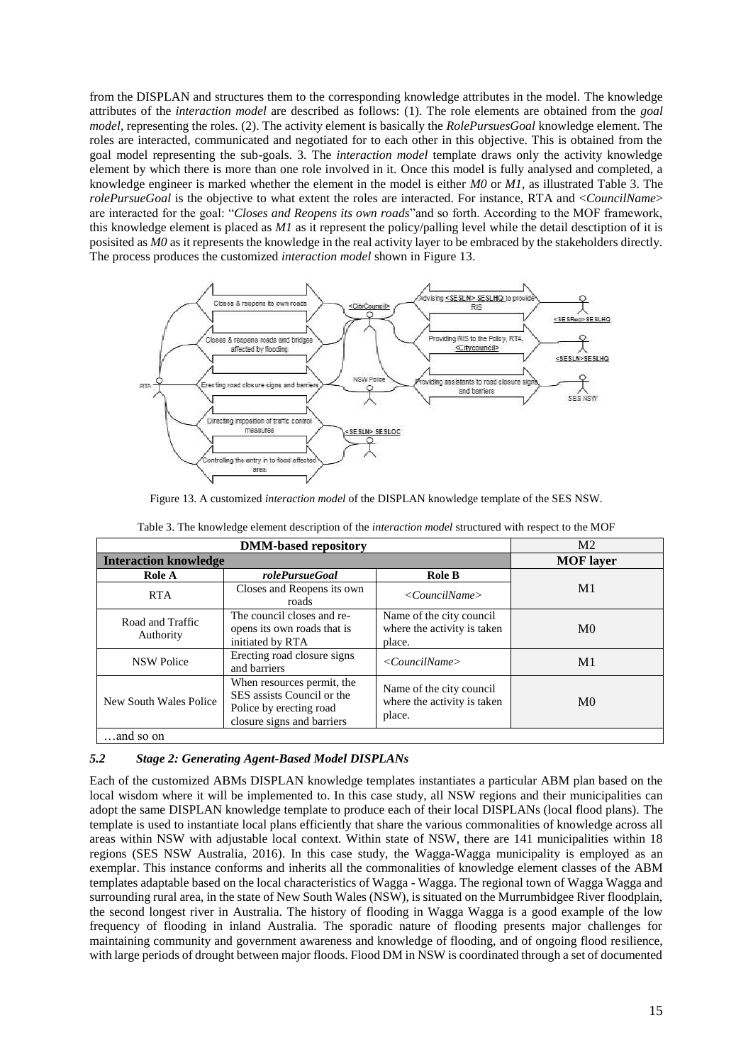from the DISPLAN and structures them to the corresponding knowledge attributes in the model. The knowledge attributes of the *interaction model* are described as follows: (1). The role elements are obtained from the *goal model*, representing the roles. (2). The activity element is basically the *RolePursuesGoal* knowledge element. The roles are interacted, communicated and negotiated for to each other in this objective. This is obtained from the goal model representing the sub-goals. 3. The *interaction model* template draws only the activity knowledge element by which there is more than one role involved in it. Once this model is fully analysed and completed, a knowledge engineer is marked whether the element in the model is either *M0* or *M1*, as illustrated Table 3. The *rolePursueGoal* is the objective to what extent the roles are interacted. For instance, RTA and <*CouncilName*> are interacted for the goal: "*Closes and Reopens its own roads*"and so forth. According to the MOF framework, this knowledge element is placed as *M1* as it represent the policy/palling level while the detail desctiption of it is posisited as *M0* as it represents the knowledge in the real activity layer to be embraced by the stakeholders directly. The process produces the customized *interaction model* shown in Figure 13.



Figure 13. A customized *interaction model* of the DISPLAN knowledge template of the SES NSW.

|                               | <b>DMM-based repository</b>                                                                                       |                                                                   | M <sub>2</sub>   |  |
|-------------------------------|-------------------------------------------------------------------------------------------------------------------|-------------------------------------------------------------------|------------------|--|
| <b>Interaction knowledge</b>  |                                                                                                                   |                                                                   | <b>MOF</b> layer |  |
| Role A                        | rolePursueGoal                                                                                                    | Role B                                                            |                  |  |
| <b>RTA</b>                    | Closes and Reopens its own<br>< CountcilName><br>roads                                                            |                                                                   | M1               |  |
| Road and Traffic<br>Authority | The council closes and re-<br>opens its own roads that is<br>initiated by RTA                                     | Name of the city council<br>where the activity is taken<br>place. | M <sub>0</sub>   |  |
| <b>NSW Police</b>             | Erecting road closure signs<br>and barriers                                                                       | $\langle CouncilName \rangle$                                     | M1               |  |
| New South Wales Police        | When resources permit, the<br>SES assists Council or the<br>Police by erecting road<br>closure signs and barriers | Name of the city council<br>where the activity is taken<br>place. | M <sub>0</sub>   |  |
| and so on                     |                                                                                                                   |                                                                   |                  |  |

| Table 3. The knowledge element description of the <i>interaction model</i> structured with respect to the MOF |  |  |  |  |  |  |  |
|---------------------------------------------------------------------------------------------------------------|--|--|--|--|--|--|--|
|---------------------------------------------------------------------------------------------------------------|--|--|--|--|--|--|--|

### *5.2 Stage 2: Generating Agent-Based Model DISPLANs*

Each of the customized ABMs DISPLAN knowledge templates instantiates a particular ABM plan based on the local wisdom where it will be implemented to. In this case study, all NSW regions and their municipalities can adopt the same DISPLAN knowledge template to produce each of their local DISPLANs (local flood plans). The template is used to instantiate local plans efficiently that share the various commonalities of knowledge across all areas within NSW with adjustable local context. Within state of NSW, there are 141 municipalities within 18 regions (SES NSW Australia, 2016). In this case study, the Wagga-Wagga municipality is employed as an exemplar. This instance conforms and inherits all the commonalities of knowledge element classes of the ABM templates adaptable based on the local characteristics of Wagga - Wagga. The regional town of Wagga Wagga and surrounding rural area, in the state of New South Wales (NSW), is situated on the Murrumbidgee River floodplain, the second longest river in Australia. The history of flooding in Wagga Wagga is a good example of the low frequency of flooding in inland Australia. The sporadic nature of flooding presents major challenges for maintaining community and government awareness and knowledge of flooding, and of ongoing flood resilience, with large periods of drought between major floods. Flood DM in NSW is coordinated through a set of documented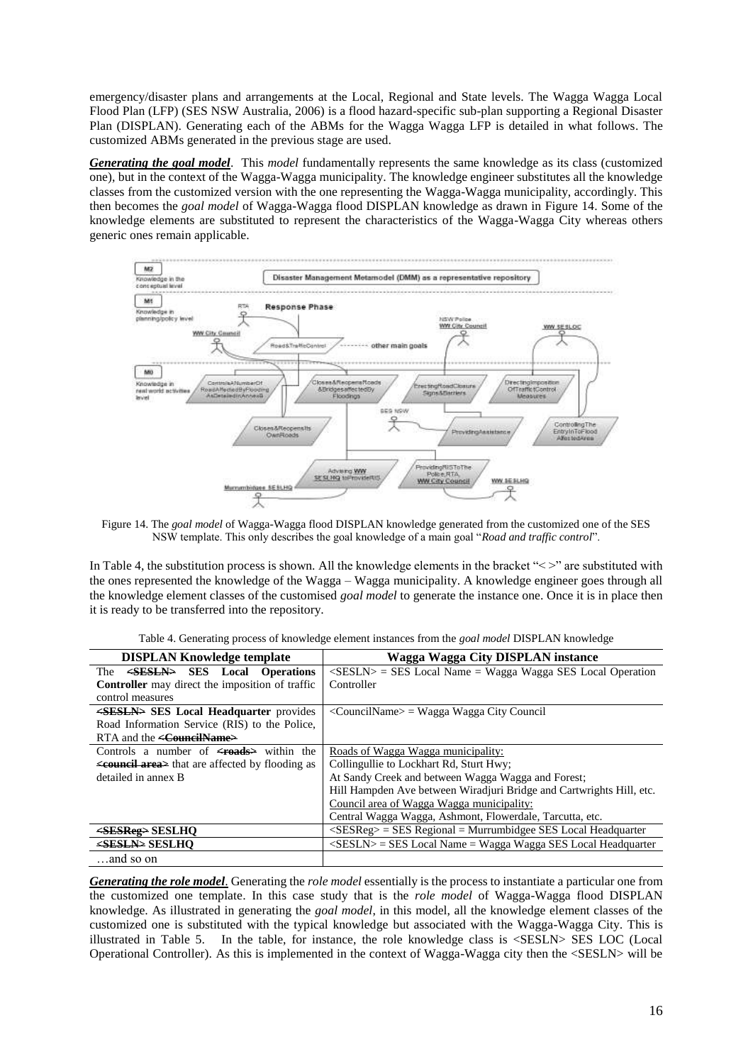emergency/disaster plans and arrangements at the Local, Regional and State levels. The Wagga Wagga Local Flood Plan (LFP) (SES NSW Australia, 2006) is a flood hazard-specific sub-plan supporting a Regional Disaster Plan (DISPLAN). Generating each of the ABMs for the Wagga Wagga LFP is detailed in what follows. The customized ABMs generated in the previous stage are used.

*Generating the goal model*. This *model* fundamentally represents the same knowledge as its class (customized one), but in the context of the Wagga-Wagga municipality. The knowledge engineer substitutes all the knowledge classes from the customized version with the one representing the Wagga-Wagga municipality, accordingly. This then becomes the *goal model* of Wagga-Wagga flood DISPLAN knowledge as drawn in Figure 14. Some of the knowledge elements are substituted to represent the characteristics of the Wagga-Wagga City whereas others generic ones remain applicable.



Figure 14. The *goal model* of Wagga-Wagga flood DISPLAN knowledge generated from the customized one of the SES NSW template. This only describes the goal knowledge of a main goal "*Road and traffic control*".

In Table 4, the substitution process is shown. All the knowledge elements in the bracket " $\lt$ " are substituted with the ones represented the knowledge of the Wagga – Wagga municipality. A knowledge engineer goes through all the knowledge element classes of the customised *goal model* to generate the instance one. Once it is in place then it is ready to be transferred into the repository.

| <b>DISPLAN Knowledge template</b>                                        | Wagga Wagga City DISPLAN instance                                                  |
|--------------------------------------------------------------------------|------------------------------------------------------------------------------------|
| <b>SESLN&gt;</b> SES Local Operations<br>The                             | $\langle \text{SESLN} \rangle$ = SES Local Name = Wagga Wagga SES Local Operation  |
| <b>Controller</b> may direct the imposition of traffic                   | Controller                                                                         |
| control measures                                                         |                                                                                    |
| <b>SESLN&gt; SES Local Headquarter provides</b>                          | $\langle$ CouncilName $\rangle$ = Wagga Wagga City Council                         |
| Road Information Service (RIS) to the Police,                            |                                                                                    |
| $RTA$ and the $\leq$ CouncilName>                                        |                                                                                    |
| Controls a number of $\leq$ <b>roads</b> within the                      | Roads of Wagga Wagga municipality:                                                 |
| <b>Example 4</b> $\epsilon$ <b>area</b> that are affected by flooding as | Collingullie to Lockhart Rd, Sturt Hwy;                                            |
| detailed in annex B                                                      | At Sandy Creek and between Wagga Wagga and Forest;                                 |
|                                                                          | Hill Hampden Ave between Wiradjuri Bridge and Cartwrights Hill, etc.               |
|                                                                          | Council area of Wagga Wagga municipality:                                          |
|                                                                          | Central Wagga Wagga, Ashmont, Flowerdale, Tarcutta, etc.                           |
| <del><sesreg></sesreg></del> SESLHO                                      | $\langle$ SESReg $\rangle$ = SES Regional = Murrumbidgee SES Local Headquarter     |
| <sesln> SESLHO</sesln>                                                   | $\langle \text{SESLN}\rangle$ = SES Local Name = Wagga Wagga SES Local Headquarter |
| and so on                                                                |                                                                                    |

Table 4. Generating process of knowledge element instances from the *goal model* DISPLAN knowledge

*Generating the role model*. Generating the *role model* essentially is the process to instantiate a particular one from the customized one template. In this case study that is the *role model* of Wagga-Wagga flood DISPLAN knowledge. As illustrated in generating the *goal model*, in this model, all the knowledge element classes of the customized one is substituted with the typical knowledge but associated with the Wagga-Wagga City. This is illustrated in Table 5. In the table, for instance, the role knowledge class is <SESLN> SES LOC (Local Operational Controller). As this is implemented in the context of Wagga-Wagga city then the <SESLN> will be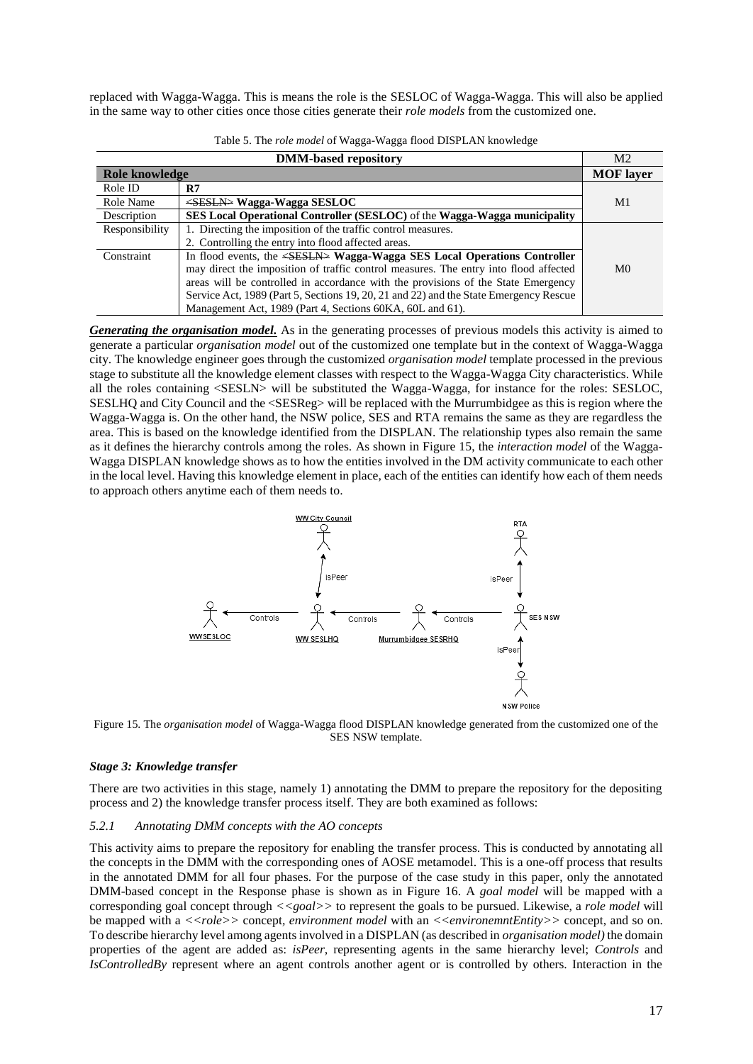replaced with Wagga-Wagga. This is means the role is the SESLOC of Wagga-Wagga. This will also be applied in the same way to other cities once those cities generate their *role models* from the customized one.

|                | <b>DMM-based repository</b>                                                           | M <sub>2</sub>   |
|----------------|---------------------------------------------------------------------------------------|------------------|
| Role knowledge |                                                                                       | <b>MOF</b> layer |
| Role ID        | R7                                                                                    |                  |
| Role Name      | $\leq$ SESLN $\geq$ Wagga-Wagga SESLOC                                                | M1               |
| Description    | SES Local Operational Controller (SESLOC) of the Wagga-Wagga municipality             |                  |
| Responsibility | 1. Directing the imposition of the traffic control measures.                          |                  |
|                | 2. Controlling the entry into flood affected areas.                                   |                  |
| Constraint     | In flood events, the <sesln> Wagga-Wagga SES Local Operations Controller</sesln>      |                  |
|                | may direct the imposition of traffic control measures. The entry into flood affected  | M <sub>0</sub>   |
|                | areas will be controlled in accordance with the provisions of the State Emergency     |                  |
|                | Service Act, 1989 (Part 5, Sections 19, 20, 21 and 22) and the State Emergency Rescue |                  |
|                | Management Act, 1989 (Part 4, Sections 60KA, 60L and 61).                             |                  |

|  | Table 5. The role model of Wagga-Wagga flood DISPLAN knowledge |  |
|--|----------------------------------------------------------------|--|
|--|----------------------------------------------------------------|--|

*Generating the organisation model.* As in the generating processes of previous models this activity is aimed to generate a particular *organisation model* out of the customized one template but in the context of Wagga-Wagga city. The knowledge engineer goes through the customized *organisation model* template processed in the previous stage to substitute all the knowledge element classes with respect to the Wagga-Wagga City characteristics. While all the roles containing <SESLN> will be substituted the Wagga-Wagga, for instance for the roles: SESLOC, SESLHQ and City Council and the <SESReg> will be replaced with the Murrumbidgee as this is region where the Wagga-Wagga is. On the other hand, the NSW police, SES and RTA remains the same as they are regardless the area. This is based on the knowledge identified from the DISPLAN. The relationship types also remain the same as it defines the hierarchy controls among the roles. As shown in Figure 15, the *interaction model* of the Wagga-Wagga DISPLAN knowledge shows as to how the entities involved in the DM activity communicate to each other in the local level. Having this knowledge element in place, each of the entities can identify how each of them needs to approach others anytime each of them needs to.



Figure 15. The *organisation model* of Wagga-Wagga flood DISPLAN knowledge generated from the customized one of the SES NSW template.

#### *Stage 3: Knowledge transfer*

There are two activities in this stage, namely 1) annotating the DMM to prepare the repository for the depositing process and 2) the knowledge transfer process itself. They are both examined as follows:

#### *5.2.1 Annotating DMM concepts with the AO concepts*

This activity aims to prepare the repository for enabling the transfer process. This is conducted by annotating all the concepts in the DMM with the corresponding ones of AOSE metamodel. This is a one-off process that results in the annotated DMM for all four phases. For the purpose of the case study in this paper, only the annotated DMM-based concept in the Response phase is shown as in Figure 16. A *goal model* will be mapped with a corresponding goal concept through *<<goal>>* to represent the goals to be pursued. Likewise, a *role model* will be mapped with a *<<role>>* concept*, environment model* with an *<<environemntEntity>>* concept, and so on. To describe hierarchy level among agents involved in a DISPLAN (as described in *organisation model)* the domain properties of the agent are added as: *isPeer*, representing agents in the same hierarchy level; *Controls* and *IsControlledBy* represent where an agent controls another agent or is controlled by others. Interaction in the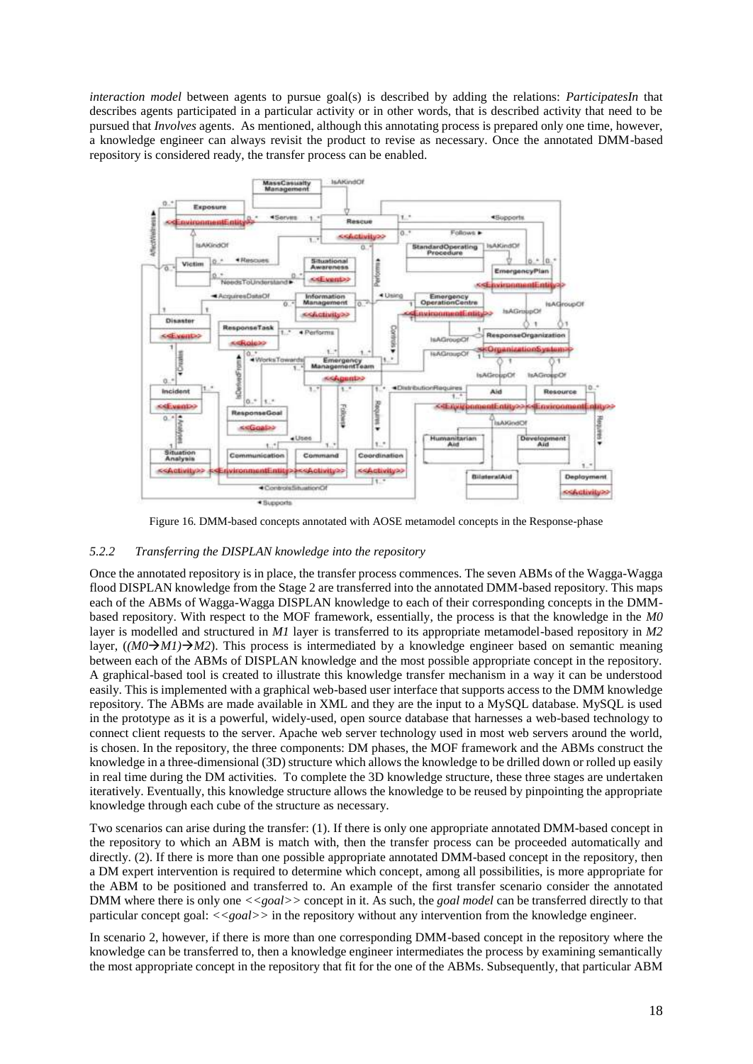*interaction model* between agents to pursue goal(s) is described by adding the relations: *ParticipatesIn* that describes agents participated in a particular activity or in other words, that is described activity that need to be pursued that *Involves* agents. As mentioned, although this annotating process is prepared only one time, however, a knowledge engineer can always revisit the product to revise as necessary. Once the annotated DMM-based repository is considered ready, the transfer process can be enabled.



Figure 16. DMM-based concepts annotated with AOSE metamodel concepts in the Response-phase

### *5.2.2 Transferring the DISPLAN knowledge into the repository*

Once the annotated repository is in place, the transfer process commences. The seven ABMs of the Wagga-Wagga flood DISPLAN knowledge from the Stage 2 are transferred into the annotated DMM-based repository. This maps each of the ABMs of Wagga-Wagga DISPLAN knowledge to each of their corresponding concepts in the DMMbased repository. With respect to the MOF framework, essentially, the process is that the knowledge in the *M0* layer is modelled and structured in *M1* layer is transferred to its appropriate metamodel-based repository in *M2* layer,  $((M0\rightarrow M1)\rightarrow M2)$ . This process is intermediated by a knowledge engineer based on semantic meaning between each of the ABMs of DISPLAN knowledge and the most possible appropriate concept in the repository. A graphical-based tool is created to illustrate this knowledge transfer mechanism in a way it can be understood easily. This is implemented with a graphical web-based user interface that supports access to the DMM knowledge repository. The ABMs are made available in XML and they are the input to a MySQL database. MySQL is used in the prototype as it is a powerful, widely-used, open source database that harnesses a web-based technology to connect client requests to the server. Apache web server technology used in most web servers around the world, is chosen. In the repository, the three components: DM phases, the MOF framework and the ABMs construct the knowledge in a three-dimensional (3D) structure which allows the knowledge to be drilled down or rolled up easily in real time during the DM activities. To complete the 3D knowledge structure, these three stages are undertaken iteratively. Eventually, this knowledge structure allows the knowledge to be reused by pinpointing the appropriate knowledge through each cube of the structure as necessary.

Two scenarios can arise during the transfer: (1). If there is only one appropriate annotated DMM-based concept in the repository to which an ABM is match with, then the transfer process can be proceeded automatically and directly. (2). If there is more than one possible appropriate annotated DMM-based concept in the repository, then a DM expert intervention is required to determine which concept, among all possibilities, is more appropriate for the ABM to be positioned and transferred to. An example of the first transfer scenario consider the annotated DMM where there is only one  $\langle \langle \text{goal} \rangle \rangle$  concept in it. As such, the *goal model* can be transferred directly to that particular concept goal: *<<goal>>* in the repository without any intervention from the knowledge engineer.

In scenario 2, however, if there is more than one corresponding DMM-based concept in the repository where the knowledge can be transferred to, then a knowledge engineer intermediates the process by examining semantically the most appropriate concept in the repository that fit for the one of the ABMs. Subsequently, that particular ABM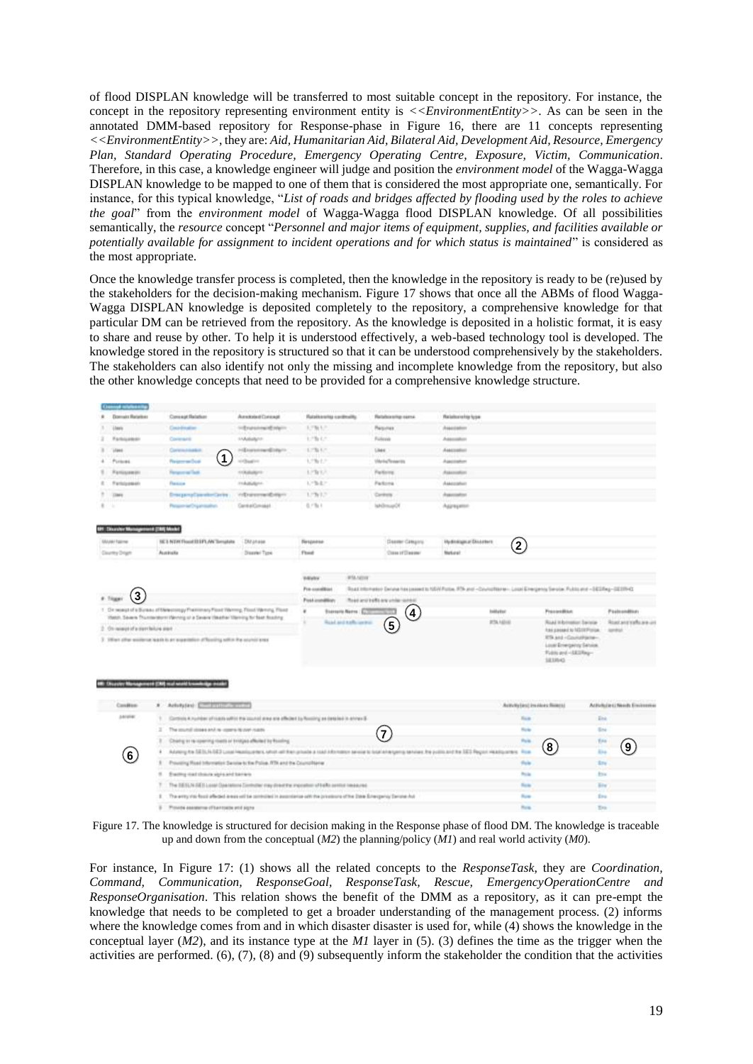of flood DISPLAN knowledge will be transferred to most suitable concept in the repository. For instance, the concept in the repository representing environment entity is *<<EnvironmentEntity>>*. As can be seen in the annotated DMM-based repository for Response-phase in Figure 16, there are 11 concepts representing *<<EnvironmentEntity>>*, they are: *Aid, Humanitarian Aid, Bilateral Aid, Development Aid, Resource, Emergency Plan, Standard Operating Procedure, Emergency Operating Centre, Exposure, Victim, Communication*. Therefore, in this case, a knowledge engineer will judge and position the *environment model* of the Wagga-Wagga DISPLAN knowledge to be mapped to one of them that is considered the most appropriate one, semantically. For instance, for this typical knowledge, "*List of roads and bridges affected by flooding used by the roles to achieve the goal*" from the *environment model* of Wagga-Wagga flood DISPLAN knowledge. Of all possibilities semantically, the *resource* concept "*Personnel and major items of equipment, supplies, and facilities available or potentially available for assignment to incident operations and for which status is maintained*" is considered as the most appropriate.

Once the knowledge transfer process is completed, then the knowledge in the repository is ready to be (re)used by the stakeholders for the decision-making mechanism. Figure 17 shows that once all the ABMs of flood Wagga-Wagga DISPLAN knowledge is deposited completely to the repository, a comprehensive knowledge for that particular DM can be retrieved from the repository. As the knowledge is deposited in a holistic format, it is easy to share and reuse by other. To help it is understood effectively, a web-based technology tool is developed. The knowledge stored in the repository is structured so that it can be understood comprehensively by the stakeholders. The stakeholders can also identify not only the missing and incomplete knowledge from the repository, but also the other knowledge concepts that need to be provided for a comprehensive knowledge structure.



Figure 17. The knowledge is structured for decision making in the Response phase of flood DM. The knowledge is traceable up and down from the conceptual (*M2*) the planning/policy (*M1*) and real world activity (*M0*).

For instance, In Figure 17: (1) shows all the related concepts to the *ResponseTask*, they are *Coordination, Command, Communication, ResponseGoal, ResponseTask, Rescue, EmergencyOperationCentre and ResponseOrganisation*. This relation shows the benefit of the DMM as a repository, as it can pre-empt the knowledge that needs to be completed to get a broader understanding of the management process. (2) informs where the knowledge comes from and in which disaster disaster is used for, while (4) shows the knowledge in the conceptual layer (*M2*), and its instance type at the *M1* layer in (5). (3) defines the time as the trigger when the activities are performed. (6), (7), (8) and (9) subsequently inform the stakeholder the condition that the activities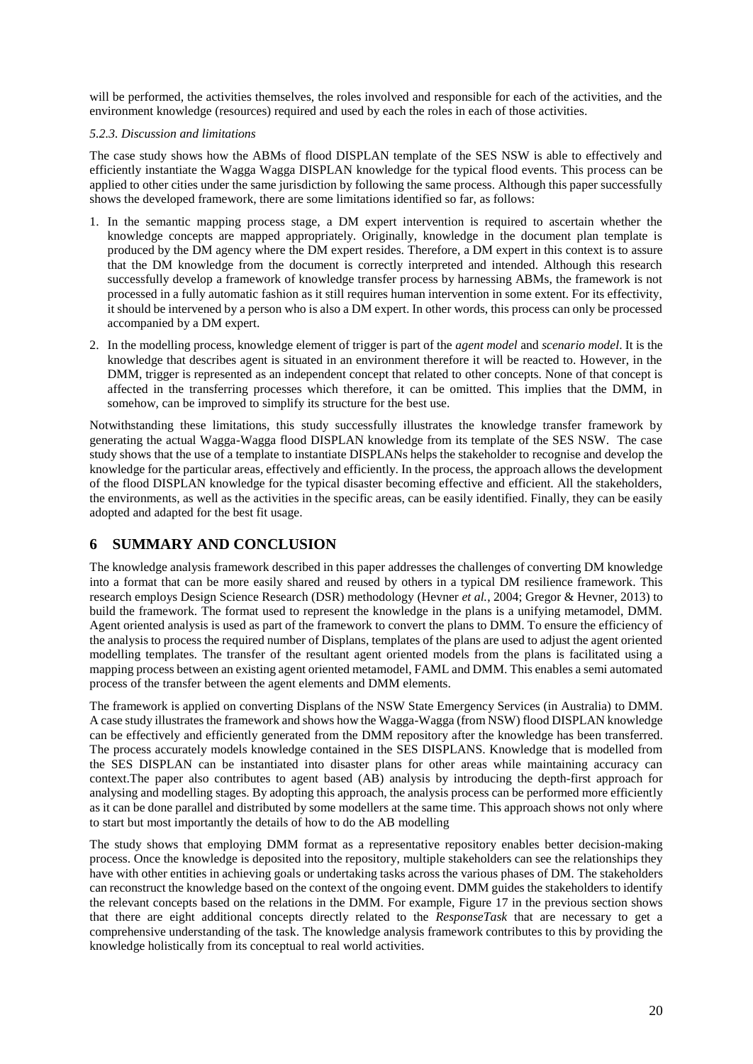will be performed, the activities themselves, the roles involved and responsible for each of the activities, and the environment knowledge (resources) required and used by each the roles in each of those activities.

### *5.2.3. Discussion and limitations*

The case study shows how the ABMs of flood DISPLAN template of the SES NSW is able to effectively and efficiently instantiate the Wagga Wagga DISPLAN knowledge for the typical flood events. This process can be applied to other cities under the same jurisdiction by following the same process. Although this paper successfully shows the developed framework, there are some limitations identified so far, as follows:

- 1. In the semantic mapping process stage, a DM expert intervention is required to ascertain whether the knowledge concepts are mapped appropriately. Originally, knowledge in the document plan template is produced by the DM agency where the DM expert resides. Therefore, a DM expert in this context is to assure that the DM knowledge from the document is correctly interpreted and intended. Although this research successfully develop a framework of knowledge transfer process by harnessing ABMs, the framework is not processed in a fully automatic fashion as it still requires human intervention in some extent. For its effectivity, it should be intervened by a person who is also a DM expert. In other words, this process can only be processed accompanied by a DM expert.
- 2. In the modelling process, knowledge element of trigger is part of the *agent model* and *scenario model*. It is the knowledge that describes agent is situated in an environment therefore it will be reacted to. However, in the DMM, trigger is represented as an independent concept that related to other concepts. None of that concept is affected in the transferring processes which therefore, it can be omitted. This implies that the DMM, in somehow, can be improved to simplify its structure for the best use.

Notwithstanding these limitations, this study successfully illustrates the knowledge transfer framework by generating the actual Wagga-Wagga flood DISPLAN knowledge from its template of the SES NSW. The case study shows that the use of a template to instantiate DISPLANs helps the stakeholder to recognise and develop the knowledge for the particular areas, effectively and efficiently. In the process, the approach allows the development of the flood DISPLAN knowledge for the typical disaster becoming effective and efficient. All the stakeholders, the environments, as well as the activities in the specific areas, can be easily identified. Finally, they can be easily adopted and adapted for the best fit usage.

# **6 SUMMARY AND CONCLUSION**

The knowledge analysis framework described in this paper addresses the challenges of converting DM knowledge into a format that can be more easily shared and reused by others in a typical DM resilience framework. This research employs Design Science Research (DSR) methodology (Hevner *et al.*, 2004; Gregor & Hevner, 2013) to build the framework. The format used to represent the knowledge in the plans is a unifying metamodel, DMM. Agent oriented analysis is used as part of the framework to convert the plans to DMM. To ensure the efficiency of the analysis to process the required number of Displans, templates of the plans are used to adjust the agent oriented modelling templates. The transfer of the resultant agent oriented models from the plans is facilitated using a mapping process between an existing agent oriented metamodel, FAML and DMM. This enables a semi automated process of the transfer between the agent elements and DMM elements.

The framework is applied on converting Displans of the NSW State Emergency Services (in Australia) to DMM. A case study illustrates the framework and shows how the Wagga-Wagga (from NSW) flood DISPLAN knowledge can be effectively and efficiently generated from the DMM repository after the knowledge has been transferred. The process accurately models knowledge contained in the SES DISPLANS. Knowledge that is modelled from the SES DISPLAN can be instantiated into disaster plans for other areas while maintaining accuracy can context.The paper also contributes to agent based (AB) analysis by introducing the depth-first approach for analysing and modelling stages. By adopting this approach, the analysis process can be performed more efficiently as it can be done parallel and distributed by some modellers at the same time. This approach shows not only where to start but most importantly the details of how to do the AB modelling

The study shows that employing DMM format as a representative repository enables better decision-making process. Once the knowledge is deposited into the repository, multiple stakeholders can see the relationships they have with other entities in achieving goals or undertaking tasks across the various phases of DM. The stakeholders can reconstruct the knowledge based on the context of the ongoing event. DMM guides the stakeholders to identify the relevant concepts based on the relations in the DMM. For example, Figure 17 in the previous section shows that there are eight additional concepts directly related to the *ResponseTask* that are necessary to get a comprehensive understanding of the task. The knowledge analysis framework contributes to this by providing the knowledge holistically from its conceptual to real world activities.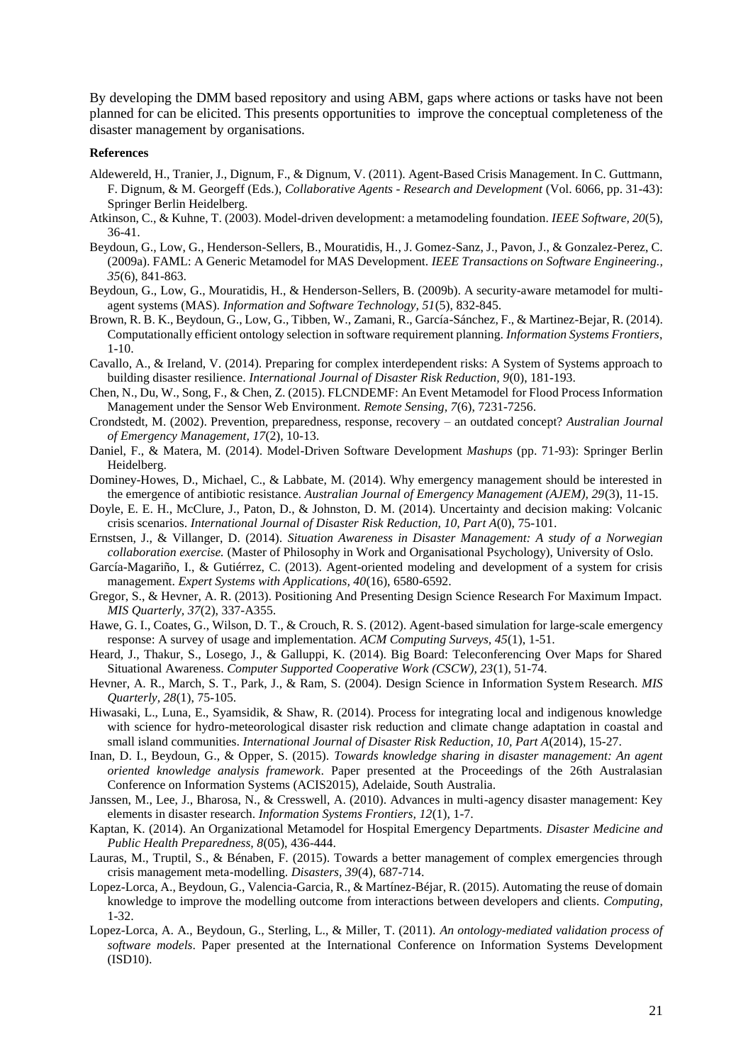By developing the DMM based repository and using ABM, gaps where actions or tasks have not been planned for can be elicited. This presents opportunities to improve the conceptual completeness of the disaster management by organisations.

#### **References**

- Aldewereld, H., Tranier, J., Dignum, F., & Dignum, V. (2011). Agent-Based Crisis Management. In C. Guttmann, F. Dignum, & M. Georgeff (Eds.), *Collaborative Agents - Research and Development* (Vol. 6066, pp. 31-43): Springer Berlin Heidelberg.
- Atkinson, C., & Kuhne, T. (2003). Model-driven development: a metamodeling foundation. *IEEE Software, 20*(5), 36-41.
- Beydoun, G., Low, G., Henderson-Sellers, B., Mouratidis, H., J. Gomez-Sanz, J., Pavon, J., & Gonzalez-Perez, C. (2009a). FAML: A Generic Metamodel for MAS Development. *IEEE Transactions on Software Engineering., 35*(6), 841-863.
- Beydoun, G., Low, G., Mouratidis, H., & Henderson-Sellers, B. (2009b). A security-aware metamodel for multiagent systems (MAS). *Information and Software Technology, 51*(5), 832-845.
- Brown, R. B. K., Beydoun, G., Low, G., Tibben, W., Zamani, R., García-Sánchez, F., & Martinez-Bejar, R. (2014). Computationally efficient ontology selection in software requirement planning. *Information Systems Frontiers*, 1-10.
- Cavallo, A., & Ireland, V. (2014). Preparing for complex interdependent risks: A System of Systems approach to building disaster resilience. *International Journal of Disaster Risk Reduction, 9*(0), 181-193.
- Chen, N., Du, W., Song, F., & Chen, Z. (2015). FLCNDEMF: An Event Metamodel for Flood Process Information Management under the Sensor Web Environment. *Remote Sensing, 7*(6), 7231-7256.
- Crondstedt, M. (2002). Prevention, preparedness, response, recovery an outdated concept? *Australian Journal of Emergency Management, 17*(2), 10-13.
- Daniel, F., & Matera, M. (2014). Model-Driven Software Development *Mashups* (pp. 71-93): Springer Berlin Heidelberg.
- Dominey-Howes, D., Michael, C., & Labbate, M. (2014). Why emergency management should be interested in the emergence of antibiotic resistance. *Australian Journal of Emergency Management (AJEM), 29*(3), 11-15.
- Doyle, E. E. H., McClure, J., Paton, D., & Johnston, D. M. (2014). Uncertainty and decision making: Volcanic crisis scenarios. *International Journal of Disaster Risk Reduction, 10, Part A*(0), 75-101.
- Ernstsen, J., & Villanger, D. (2014). *Situation Awareness in Disaster Management: A study of a Norwegian collaboration exercise.* (Master of Philosophy in Work and Organisational Psychology), University of Oslo.
- García-Magariño, I., & Gutiérrez, C. (2013). Agent-oriented modeling and development of a system for crisis management. *Expert Systems with Applications, 40*(16), 6580-6592.
- Gregor, S., & Hevner, A. R. (2013). Positioning And Presenting Design Science Research For Maximum Impact. *MIS Quarterly, 37*(2), 337-A355.
- Hawe, G. I., Coates, G., Wilson, D. T., & Crouch, R. S. (2012). Agent-based simulation for large-scale emergency response: A survey of usage and implementation. *ACM Computing Surveys, 45*(1), 1-51.
- Heard, J., Thakur, S., Losego, J., & Galluppi, K. (2014). Big Board: Teleconferencing Over Maps for Shared Situational Awareness. *Computer Supported Cooperative Work (CSCW), 23*(1), 51-74.
- Hevner, A. R., March, S. T., Park, J., & Ram, S. (2004). Design Science in Information System Research. *MIS Quarterly, 28*(1), 75-105.
- Hiwasaki, L., Luna, E., Syamsidik, & Shaw, R. (2014). Process for integrating local and indigenous knowledge with science for hydro-meteorological disaster risk reduction and climate change adaptation in coastal and small island communities. *International Journal of Disaster Risk Reduction, 10, Part A*(2014), 15-27.
- Inan, D. I., Beydoun, G., & Opper, S. (2015). *Towards knowledge sharing in disaster management: An agent oriented knowledge analysis framework*. Paper presented at the Proceedings of the 26th Australasian Conference on Information Systems (ACIS2015), Adelaide, South Australia.
- Janssen, M., Lee, J., Bharosa, N., & Cresswell, A. (2010). Advances in multi-agency disaster management: Key elements in disaster research. *Information Systems Frontiers, 12*(1), 1-7.
- Kaptan, K. (2014). An Organizational Metamodel for Hospital Emergency Departments. *Disaster Medicine and Public Health Preparedness, 8*(05), 436-444.
- Lauras, M., Truptil, S., & Bénaben, F. (2015). Towards a better management of complex emergencies through crisis management meta-modelling. *Disasters, 39*(4), 687-714.
- Lopez-Lorca, A., Beydoun, G., Valencia-Garcia, R., & Martínez-Béjar, R. (2015). Automating the reuse of domain knowledge to improve the modelling outcome from interactions between developers and clients. *Computing*, 1-32.
- Lopez-Lorca, A. A., Beydoun, G., Sterling, L., & Miller, T. (2011). *An ontology-mediated validation process of software models*. Paper presented at the International Conference on Information Systems Development (ISD10).